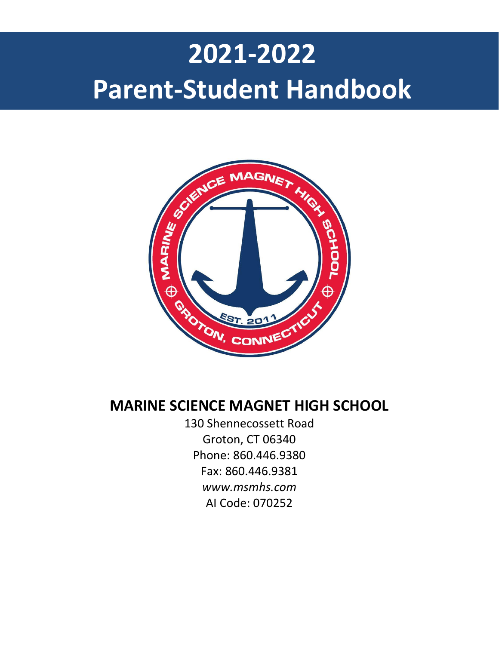# **pellano 2021-2022 Parent-Student Handbook**



# **MARINE SCIENCE MAGNET HIGH SCHOOL**

130 Shennecossett Road Groton, CT 06340 Phone: 860.446.9380 Fax: 860.446.9381 *www.msmhs.com* AI Code: 070252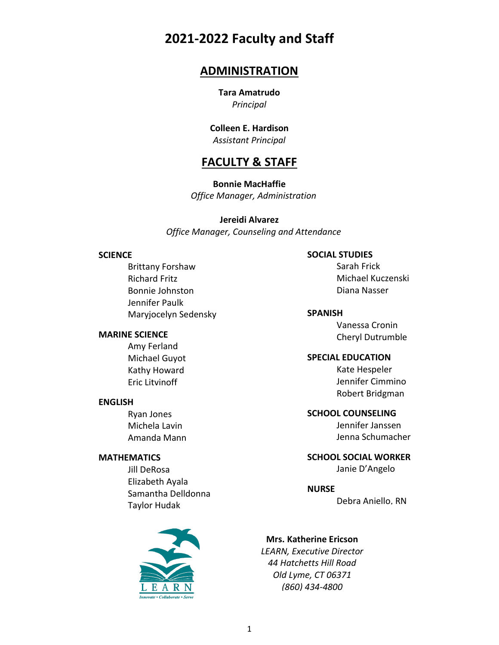# **2021-2022 Faculty and Staff**

# **ADMINISTRATION**

**Tara Amatrudo** *Principal*

**Colleen E. Hardison** *Assistant Principal*

# **FACULTY & STAFF**

**Bonnie MacHaffie**  *Office Manager, Administration*

**Jereidi Alvarez**

 *Office Manager, Counseling and Attendance*

#### **SCIENCE**

Brittany Forshaw Richard Fritz Bonnie Johnston Jennifer Paulk Maryjocelyn Sedensky

#### **MARINE SCIENCE**

Amy Ferland Michael Guyot Kathy Howard Eric Litvinoff

#### **ENGLISH**

Ryan Jones Michela Lavin Amanda Mann

#### **MATHEMATICS**

Jill DeRosa Elizabeth Ayala Samantha Delldonna Taylor Hudak



#### **SOCIAL STUDIES**

Sarah Frick Michael Kuczenski Diana Nasser

#### **SPANISH**

Vanessa Cronin Cheryl Dutrumble

#### **SPECIAL EDUCATION**

Kate Hespeler Jennifer Cimmino Robert Bridgman

#### **SCHOOL COUNSELING**

Jennifer Janssen Jenna Schumacher

# **SCHOOL SOCIAL WORKER**

Janie D'Angelo

#### **NURSE**

Debra Aniello, RN

#### **Mrs. Katherine Ericson**

*LEARN, Executive Director 44 Hatchetts Hill Road Old Lyme, CT 06371 (860) 434-4800*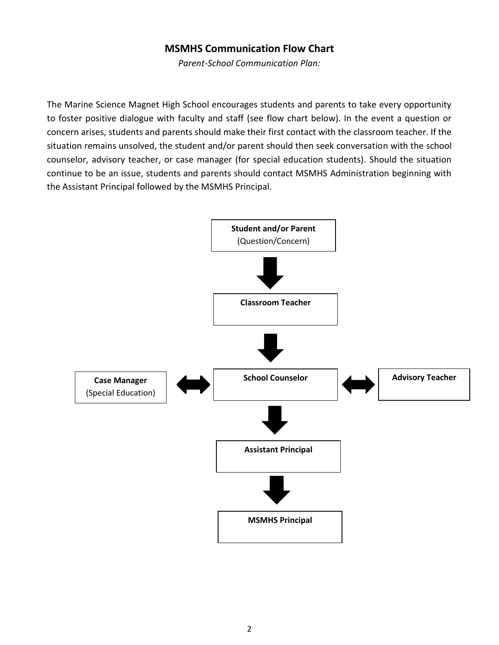### **MSMHS Communication Flow Chart**

*Parent-School Communication Plan:*

The Marine Science Magnet High School encourages students and parents to take every opportunity to foster positive dialogue with faculty and staff (see flow chart below). In the event a question or concern arises, students and parents should make their first contact with the classroom teacher. If the situation remains unsolved, the student and/or parent should then seek conversation with the school counselor, advisory teacher, or case manager (for special education students). Should the situation continue to be an issue, students and parents should contact MSMHS Administration beginning with the Assistant Principal followed by the MSMHS Principal.

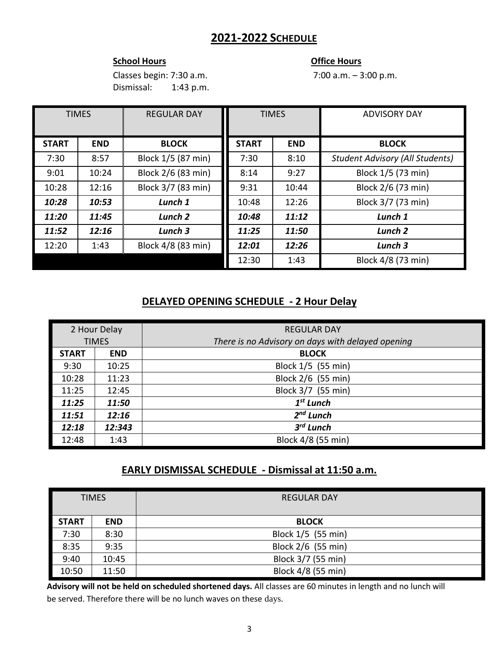# **2021-2022 SCHEDULE**

#### **School Hours Contract Contract Contract Contract Contract Contract Contract Contract Contract Contract Contract Contract Contract Contract Contract Contract Contract Contract Contract Contract Contract Contract Contract**

Classes begin: 7:30 a.m. 7:00 a.m. – 3:00 p.m. Dismissal: 1:43 p.m.

| <b>TIMES</b> |            | <b>REGULAR DAY</b> | <b>TIMES</b> |            | <b>ADVISORY DAY</b>                    |
|--------------|------------|--------------------|--------------|------------|----------------------------------------|
| <b>START</b> | <b>END</b> | <b>BLOCK</b>       | <b>START</b> | <b>END</b> | <b>BLOCK</b>                           |
| 7:30         | 8:57       | Block 1/5 (87 min) | 7:30         | 8:10       | <b>Student Advisory (All Students)</b> |
| 9:01         | 10:24      | Block 2/6 (83 min) | 8:14         | 9:27       | Block 1/5 (73 min)                     |
| 10:28        | 12:16      | Block 3/7 (83 min) | 9:31         | 10:44      | Block 2/6 (73 min)                     |
| 10:28        | 10:53      | Lunch 1            | 10:48        | 12:26      | Block 3/7 (73 min)                     |
| 11:20        | 11:45      | Lunch <sub>2</sub> | 10:48        | 11:12      | Lunch 1                                |
| 11:52        | 12:16      | Lunch 3            | 11:25        | 11:50      | Lunch <sub>2</sub>                     |
| 12:20        | 1:43       | Block 4/8 (83 min) | 12:01        | 12:26      | Lunch 3                                |
|              |            |                    | 12:30        | 1:43       | Block 4/8 (73 min)                     |

### **DELAYED OPENING SCHEDULE - 2 Hour Delay**

| 2 Hour Delay |            | <b>REGULAR DAY</b>                                |  |
|--------------|------------|---------------------------------------------------|--|
| <b>TIMES</b> |            | There is no Advisory on days with delayed opening |  |
| <b>START</b> | <b>END</b> | <b>BLOCK</b>                                      |  |
| 9:30         | 10:25      | Block 1/5 (55 min)                                |  |
| 10:28        | 11:23      | Block 2/6 (55 min)                                |  |
| 11:25        | 12:45      | Block 3/7 (55 min)                                |  |
| 11:25        | 11:50      | $1st$ Lunch                                       |  |
| 11:51        | 12:16      | $2nd$ Lunch                                       |  |
| 12:18        | 12:343     | $3^{rd}$ Lunch                                    |  |
| 12:48        | 1:43       | Block 4/8 (55 min)                                |  |

### **EARLY DISMISSAL SCHEDULE - Dismissal at 11:50 a.m.**

| <b>TIMES</b> |            | <b>REGULAR DAY</b> |
|--------------|------------|--------------------|
| <b>START</b> | <b>END</b> | <b>BLOCK</b>       |
| 7:30         | 8:30       | Block 1/5 (55 min) |
| 8:35         | 9:35       | Block 2/6 (55 min) |
| 9:40         | 10:45      | Block 3/7 (55 min) |
| 10:50        | 11:50      | Block 4/8 (55 min) |

**Advisory will not be held on scheduled shortened days.** All classes are 60 minutes in length and no lunch will be served. Therefore there will be no lunch waves on these days.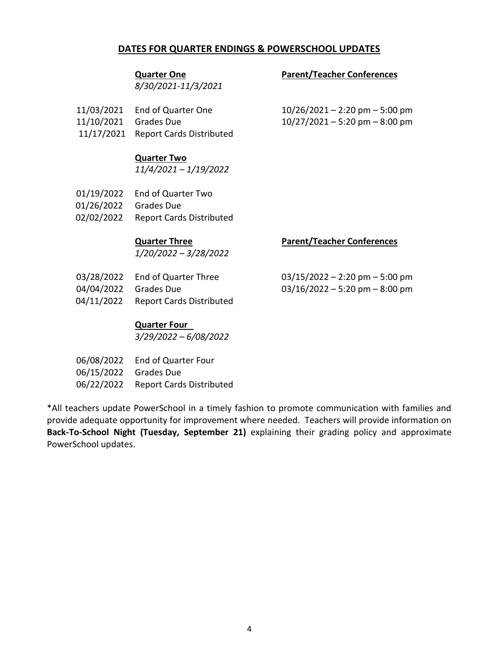#### **DATES FOR QUARTER ENDINGS & POWERSCHOOL UPDATES**

*8/30/2021-11/3/2021*

#### **Quarter One Parent/Teacher Conferences**

- 11/03/2021 End of Quarter One 10/26/2021 2:20 pm 5:00 pm
- 11/10/2021 Grades Due 10/27/2021 5:20 pm 8:00 pm
- 11/17/2021 Report Cards Distributed

**Quarter Two**

*11/4/2021 – 1/19/2022*

01/19/2022 End of Quarter Two 01/26/2022 Grades Due 02/02/2022 Report Cards Distributed

*1/20/2022 – 3/28/2022*

#### **Quarter Three Parent/Teacher Conferences**

|                       | 03/28/2022 End of Quarter Three     | $03/15/2022 - 2:20$ pm $-5:00$ pm  |
|-----------------------|-------------------------------------|------------------------------------|
| 04/04/2022 Grades Due |                                     | $03/16/2022 - 5:20$ pm $- 8:00$ pm |
|                       | 04/11/2022 Report Cards Distributed |                                    |

#### **Quarter Four**

*3/29/2022 – 6/08/2022*

|                       | 06/08/2022 End of Quarter Four      |
|-----------------------|-------------------------------------|
| 06/15/2022 Grades Due |                                     |
|                       | 06/22/2022 Report Cards Distributed |

\*All teachers update PowerSchool in a timely fashion to promote communication with families and provide adequate opportunity for improvement where needed. Teachers will provide information on **Back-To-School Night (Tuesday, September 21)** explaining their grading policy and approximate PowerSchool updates.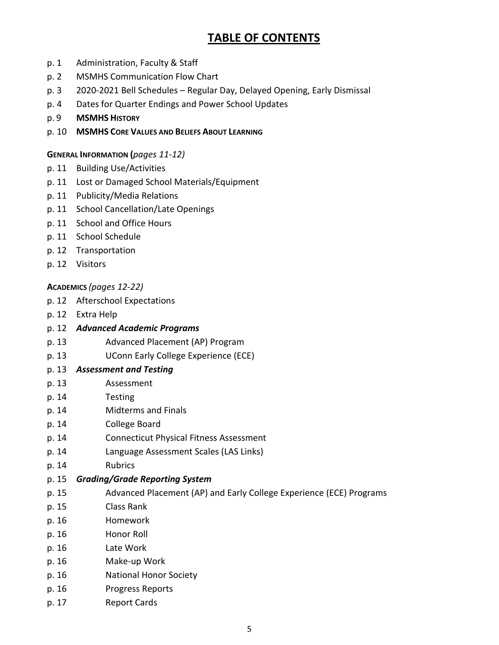# **TABLE OF CONTENTS**

- p. 1 Administration, Faculty & Staff
- p. 2 MSMHS Communication Flow Chart
- p. 3 2020-2021 Bell Schedules Regular Day, Delayed Opening, Early Dismissal
- p. 4 Dates for Quarter Endings and Power School Updates
- p. 9 **MSMHS HISTORY**
- p. 10 **MSMHS CORE VALUES AND BELIEFS ABOUT LEARNING**

#### **GENERAL INFORMATION (***pages 11-12)*

- p. 11 Building Use/Activities
- p. 11 Lost or Damaged School Materials/Equipment
- p. 11 Publicity/Media Relations
- p. 11 School Cancellation/Late Openings
- p. 11 School and Office Hours
- p. 11 School Schedule
- p. 12 Transportation
- p. 12 Visitors

#### **ACADEMICS** *(pages 12-22)*

- p. 12 Afterschool Expectations
- p. 12 Extra Help
- p. 12 *Advanced Academic Programs*
- p. 13 Advanced Placement (AP) Program
- p. 13 UConn Early College Experience (ECE)
- p. 13 *Assessment and Testing*
- p. 13 Assessment
- p. 14 Testing
- p. 14 Midterms and Finals
- p. 14 College Board
- p. 14 Connecticut Physical Fitness Assessment
- p. 14 Language Assessment Scales (LAS Links)
- p. 14 Rubrics
- p. 15 *Grading/Grade Reporting System*
- p. 15 Advanced Placement (AP) and Early College Experience (ECE) Programs
- p. 15 Class Rank
- p. 16 Homework
- p. 16 Honor Roll
- p. 16 Late Work
- p. 16 Make-up Work
- p. 16 National Honor Society
- p. 16 Progress Reports
- p. 17 Report Cards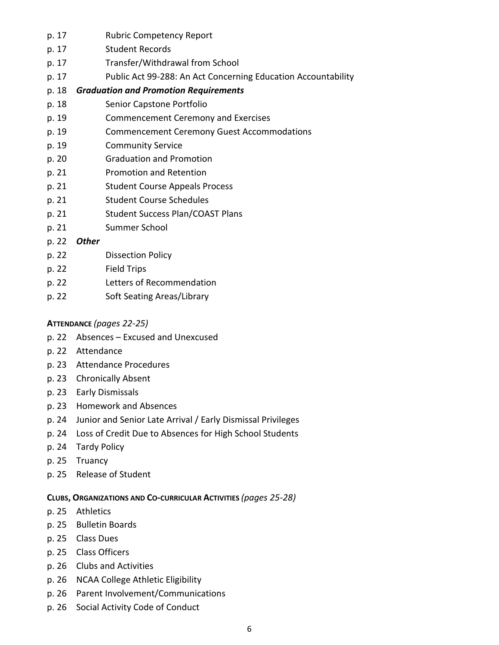- p. 17 Rubric Competency Report
- p. 17 Student Records
- p. 17 Transfer/Withdrawal from School
- p. 17 Public Act 99-288: An Act Concerning Education Accountability

#### p. 18 *Graduation and Promotion Requirements*

- p. 18 Senior Capstone Portfolio
- p. 19 Commencement Ceremony and Exercises
- p. 19 Commencement Ceremony Guest Accommodations
- p. 19 Community Service
- p. 20 Graduation and Promotion
- p. 21 Promotion and Retention
- p. 21 Student Course Appeals Process
- p. 21 Student Course Schedules
- p. 21 Student Success Plan/COAST Plans
- p. 21 Summer School
- p. 22 *Other*
- p. 22 Dissection Policy
- p. 22 Field Trips
- p. 22 Letters of Recommendation
- p. 22 Soft Seating Areas/Library

#### **ATTENDANCE** *(pages 22-25)*

- p. 22 Absences Excused and Unexcused
- p. 22 Attendance
- p. 23 Attendance Procedures
- p. 23 Chronically Absent
- p. 23 Early Dismissals
- p. 23 Homework and Absences
- p. 24 Junior and Senior Late Arrival / Early Dismissal Privileges
- p. 24 Loss of Credit Due to Absences for High School Students
- p. 24 Tardy Policy
- p. 25 Truancy
- p. 25 Release of Student

#### **CLUBS, ORGANIZATIONS AND CO-CURRICULAR ACTIVITIES** *(pages 25-28)*

- p. 25 Athletics
- p. 25 Bulletin Boards
- p. 25 Class Dues
- p. 25 Class Officers
- p. 26 Clubs and Activities
- p. 26 NCAA College Athletic Eligibility
- p. 26 Parent Involvement/Communications
- p. 26 Social Activity Code of Conduct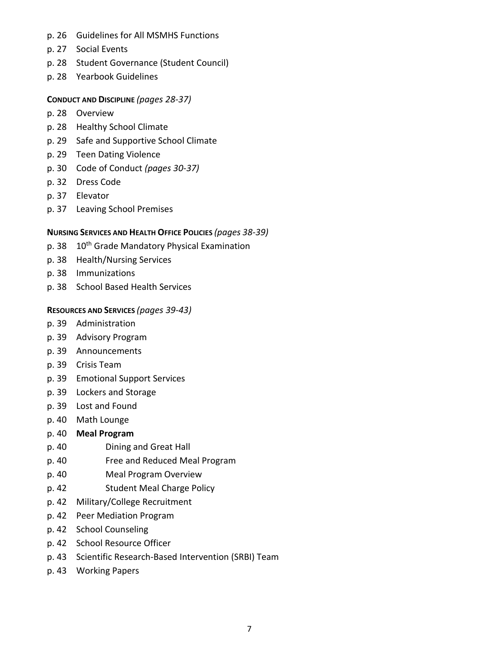- p. 26 Guidelines for All MSMHS Functions
- p. 27 Social Events
- p. 28 Student Governance (Student Council)
- p. 28 Yearbook Guidelines

#### **CONDUCT AND DISCIPLINE** *(pages 28-37)*

- p. 28 Overview
- p. 28 Healthy School Climate
- p. 29 Safe and Supportive School Climate
- p. 29 Teen Dating Violence
- p. 30 Code of Conduct *(pages 30-37)*
- p. 32 Dress Code
- p. 37 Elevator
- p. 37 Leaving School Premises

#### **NURSING SERVICES AND HEALTH OFFICE POLICIES** *(pages 38-39)*

- p. 38 10<sup>th</sup> Grade Mandatory Physical Examination
- p. 38 Health/Nursing Services
- p. 38 Immunizations
- p. 38 School Based Health Services

#### **RESOURCES AND SERVICES** *(pages 39-43)*

- p. 39 Administration
- p. 39 Advisory Program
- p. 39 Announcements
- p. 39 Crisis Team
- p. 39 Emotional Support Services
- p. 39 Lockers and Storage
- p. 39 Lost and Found
- p. 40 Math Lounge

#### p. 40 **Meal Program**

- p. 40 Dining and Great Hall
- p. 40 Free and Reduced Meal Program
- p. 40 Meal Program Overview
- p. 42 Student Meal Charge Policy
- p. 42 Military/College Recruitment
- p. 42 Peer Mediation Program
- p. 42 School Counseling
- p. 42 School Resource Officer
- p. 43 Scientific Research-Based Intervention (SRBI) Team
- p. 43 Working Papers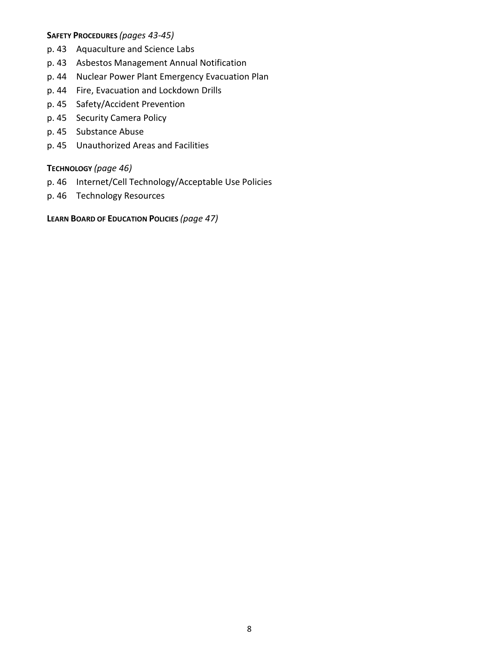#### **SAFETY PROCEDURES** *(pages 43-45)*

- p. 43 Aquaculture and Science Labs
- p. 43 Asbestos Management Annual Notification
- p. 44 Nuclear Power Plant Emergency Evacuation Plan
- p. 44 Fire, Evacuation and Lockdown Drills
- p. 45 Safety/Accident Prevention
- p. 45 Security Camera Policy
- p. 45 Substance Abuse
- p. 45 Unauthorized Areas and Facilities

#### **TECHNOLOGY** *(page 46)*

- p. 46 Internet/Cell Technology/Acceptable Use Policies
- p. 46 Technology Resources

**LEARN BOARD OF EDUCATION POLICIES** *(page 47)*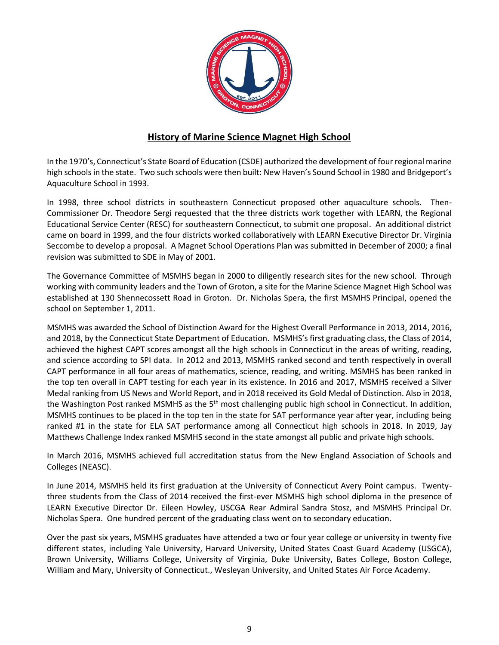

#### **History of Marine Science Magnet High School**

In the 1970's, Connecticut's State Board of Education (CSDE) authorized the development of four regional marine high schools in the state. Two such schools were then built: New Haven's Sound School in 1980 and Bridgeport's Aquaculture School in 1993.

In 1998, three school districts in southeastern Connecticut proposed other aquaculture schools. Then-Commissioner Dr. Theodore Sergi requested that the three districts work together with LEARN, the Regional Educational Service Center (RESC) for southeastern Connecticut, to submit one proposal. An additional district came on board in 1999, and the four districts worked collaboratively with LEARN Executive Director Dr. Virginia Seccombe to develop a proposal. A Magnet School Operations Plan was submitted in December of 2000; a final revision was submitted to SDE in May of 2001.

The Governance Committee of MSMHS began in 2000 to diligently research sites for the new school. Through working with community leaders and the Town of Groton, a site for the Marine Science Magnet High School was established at 130 Shennecossett Road in Groton. Dr. Nicholas Spera, the first MSMHS Principal, opened the school on September 1, 2011.

MSMHS was awarded the School of Distinction Award for the Highest Overall Performance in 2013, 2014, 2016, and 2018, by the Connecticut State Department of Education. MSMHS's first graduating class, the Class of 2014, achieved the highest CAPT scores amongst all the high schools in Connecticut in the areas of writing, reading, and science according to SPI data. In 2012 and 2013, MSMHS ranked second and tenth respectively in overall CAPT performance in all four areas of mathematics, science, reading, and writing. MSMHS has been ranked in the top ten overall in CAPT testing for each year in its existence. In 2016 and 2017, MSMHS received a Silver Medal ranking from US News and World Report, and in 2018 received its Gold Medal of Distinction. Also in 2018, the Washington Post ranked MSMHS as the 5<sup>th</sup> most challenging public high school in Connecticut. In addition, MSMHS continues to be placed in the top ten in the state for SAT performance year after year, including being ranked #1 in the state for ELA SAT performance among all Connecticut high schools in 2018. In 2019, Jay Matthews Challenge Index ranked MSMHS second in the state amongst all public and private high schools.

In March 2016, MSMHS achieved full accreditation status from the New England Association of Schools and Colleges (NEASC).

In June 2014, MSMHS held its first graduation at the University of Connecticut Avery Point campus. Twentythree students from the Class of 2014 received the first-ever MSMHS high school diploma in the presence of LEARN Executive Director Dr. Eileen Howley, USCGA Rear Admiral Sandra Stosz, and MSMHS Principal Dr. Nicholas Spera. One hundred percent of the graduating class went on to secondary education.

Over the past six years, MSMHS graduates have attended a two or four year college or university in twenty five different states, including Yale University, Harvard University, United States Coast Guard Academy (USGCA), Brown University, Williams College, University of Virginia, Duke University, Bates College, Boston College, William and Mary, University of Connecticut., Wesleyan University, and United States Air Force Academy.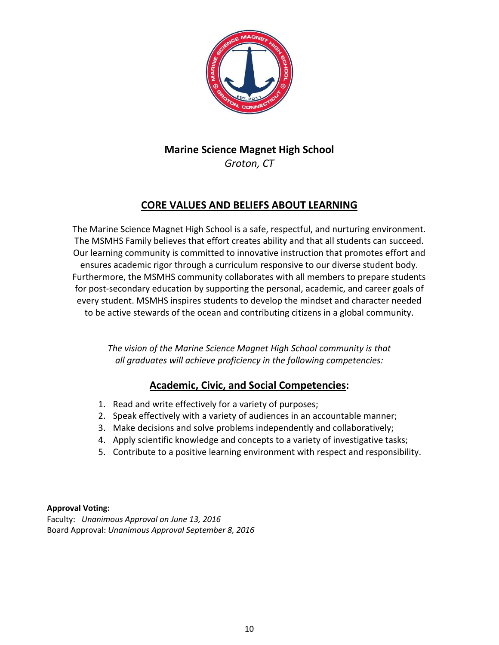

# **Marine Science Magnet High School** *Groton, CT*

# **CORE VALUES AND BELIEFS ABOUT LEARNING**

The Marine Science Magnet High School is a safe, respectful, and nurturing environment. The MSMHS Family believes that effort creates ability and that all students can succeed. Our learning community is committed to innovative instruction that promotes effort and ensures academic rigor through a curriculum responsive to our diverse student body. Furthermore, the MSMHS community collaborates with all members to prepare students for post-secondary education by supporting the personal, academic, and career goals of every student. MSMHS inspires students to develop the mindset and character needed to be active stewards of the ocean and contributing citizens in a global community.

> *The vision of the Marine Science Magnet High School community is that all graduates will achieve proficiency in the following competencies:*

# **Academic, Civic, and Social Competencies:**

- 1. Read and write effectively for a variety of purposes;
- 2. Speak effectively with a variety of audiences in an accountable manner;
- 3. Make decisions and solve problems independently and collaboratively;
- 4. Apply scientific knowledge and concepts to a variety of investigative tasks;
- 5. Contribute to a positive learning environment with respect and responsibility.

#### **Approval Voting:**

Faculty: *Unanimous Approval on June 13, 2016* Board Approval: *Unanimous Approval September 8, 2016*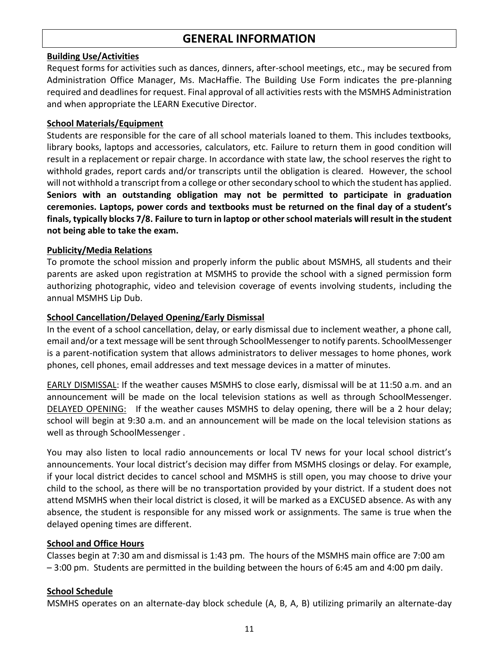# **GENERAL INFORMATION**

#### **Building Use/Activities**

Request forms for activities such as dances, dinners, after-school meetings, etc., may be secured from Administration Office Manager, Ms. MacHaffie. The Building Use Form indicates the pre-planning required and deadlines for request. Final approval of all activities rests with the MSMHS Administration and when appropriate the LEARN Executive Director.

#### **School Materials/Equipment**

Students are responsible for the care of all school materials loaned to them. This includes textbooks, library books, laptops and accessories, calculators, etc. Failure to return them in good condition will result in a replacement or repair charge. In accordance with state law, the school reserves the right to withhold grades, report cards and/or transcripts until the obligation is cleared. However, the school will not withhold a transcript from a college or other secondary school to which the student has applied. **Seniors with an outstanding obligation may not be permitted to participate in graduation ceremonies. Laptops, power cords and textbooks must be returned on the final day of a student's finals, typically blocks 7/8. Failure to turn in laptop or other school materials will result in the student not being able to take the exam.**

#### **Publicity/Media Relations**

To promote the school mission and properly inform the public about MSMHS, all students and their parents are asked upon registration at MSMHS to provide the school with a signed permission form authorizing photographic, video and television coverage of events involving students, including the annual MSMHS Lip Dub.

#### **School Cancellation/Delayed Opening/Early Dismissal**

In the event of a school cancellation, delay, or early dismissal due to inclement weather, a phone call, email and/or a text message will be sent through SchoolMessenger to notify parents. SchoolMessenger is a parent-notification system that allows administrators to deliver messages to home phones, work phones, cell phones, email addresses and text message devices in a matter of minutes.

EARLY DISMISSAL: If the weather causes MSMHS to close early, dismissal will be at 11:50 a.m. and an announcement will be made on the local television stations as well as through SchoolMessenger. DELAYED OPENING: If the weather causes MSMHS to delay opening, there will be a 2 hour delay; school will begin at 9:30 a.m. and an announcement will be made on the local television stations as well as through SchoolMessenger .

You may also listen to local radio announcements or local TV news for your local school district's announcements. Your local district's decision may differ from MSMHS closings or delay. For example, if your local district decides to cancel school and MSMHS is still open, you may choose to drive your child to the school, as there will be no transportation provided by your district. If a student does not attend MSMHS when their local district is closed, it will be marked as a EXCUSED absence. As with any absence, the student is responsible for any missed work or assignments. The same is true when the delayed opening times are different.

#### **School and Office Hours**

Classes begin at 7:30 am and dismissal is 1:43 pm. The hours of the MSMHS main office are 7:00 am – 3:00 pm. Students are permitted in the building between the hours of 6:45 am and 4:00 pm daily.

#### **School Schedule**

MSMHS operates on an alternate-day block schedule (A, B, A, B) utilizing primarily an alternate-day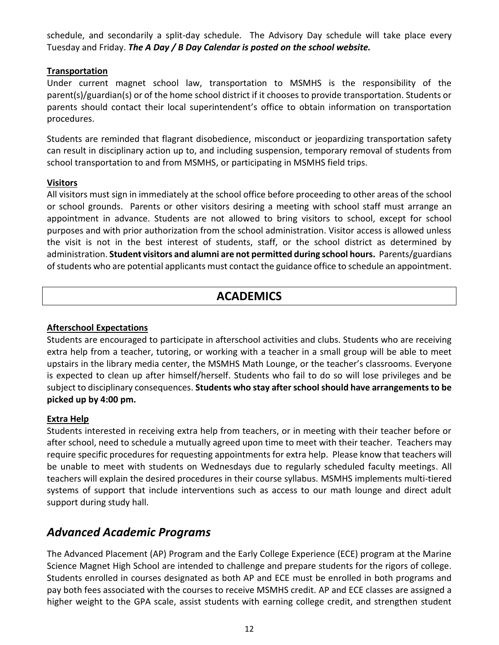schedule, and secondarily a split-day schedule. The Advisory Day schedule will take place every Tuesday and Friday. *The A Day / B Day Calendar is posted on the school website.*

#### **Transportation**

Under current magnet school law, transportation to MSMHS is the responsibility of the parent(s)/guardian(s) or of the home school district if it chooses to provide transportation. Students or parents should contact their local superintendent's office to obtain information on transportation procedures.

Students are reminded that flagrant disobedience, misconduct or jeopardizing transportation safety can result in disciplinary action up to, and including suspension, temporary removal of students from school transportation to and from MSMHS, or participating in MSMHS field trips.

#### **Visitors**

All visitors must sign in immediately at the school office before proceeding to other areas of the school or school grounds. Parents or other visitors desiring a meeting with school staff must arrange an appointment in advance. Students are not allowed to bring visitors to school, except for school purposes and with prior authorization from the school administration. Visitor access is allowed unless the visit is not in the best interest of students, staff, or the school district as determined by administration. **Student visitors and alumni are not permitted during school hours.** Parents/guardians of students who are potential applicants must contact the guidance office to schedule an appointment.

# **ACADEMICS**

#### **Afterschool Expectations**

Students are encouraged to participate in afterschool activities and clubs. Students who are receiving extra help from a teacher, tutoring, or working with a teacher in a small group will be able to meet upstairs in the library media center, the MSMHS Math Lounge, or the teacher's classrooms. Everyone is expected to clean up after himself/herself. Students who fail to do so will lose privileges and be subject to disciplinary consequences. **Students who stay after school should have arrangements to be picked up by 4:00 pm.** 

#### **Extra Help**

Students interested in receiving extra help from teachers, or in meeting with their teacher before or after school, need to schedule a mutually agreed upon time to meet with their teacher. Teachers may require specific procedures for requesting appointments for extra help. Please know that teachers will be unable to meet with students on Wednesdays due to regularly scheduled faculty meetings. All teachers will explain the desired procedures in their course syllabus. MSMHS implements multi-tiered systems of support that include interventions such as access to our math lounge and direct adult support during study hall.

# *Advanced Academic Programs*

The Advanced Placement (AP) Program and the Early College Experience (ECE) program at the Marine Science Magnet High School are intended to challenge and prepare students for the rigors of college. Students enrolled in courses designated as both AP and ECE must be enrolled in both programs and pay both fees associated with the courses to receive MSMHS credit. AP and ECE classes are assigned a higher weight to the GPA scale, assist students with earning college credit, and strengthen student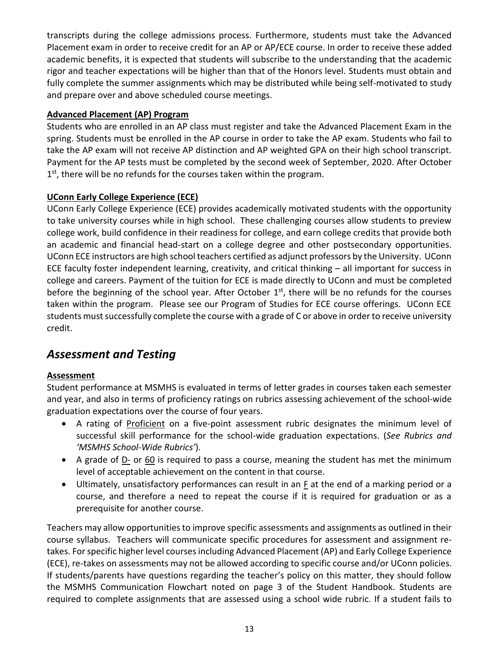transcripts during the college admissions process. Furthermore, students must take the Advanced Placement exam in order to receive credit for an AP or AP/ECE course. In order to receive these added academic benefits, it is expected that students will subscribe to the understanding that the academic rigor and teacher expectations will be higher than that of the Honors level. Students must obtain and fully complete the summer assignments which may be distributed while being self-motivated to study and prepare over and above scheduled course meetings.

#### **Advanced Placement (AP) Program**

Students who are enrolled in an AP class must register and take the Advanced Placement Exam in the spring. Students must be enrolled in the AP course in order to take the AP exam. Students who fail to take the AP exam will not receive AP distinction and AP weighted GPA on their high school transcript. Payment for the AP tests must be completed by the second week of September, 2020. After October 1<sup>st</sup>, there will be no refunds for the courses taken within the program.

### **UConn Early College Experience (ECE)**

UConn Early College Experience (ECE) provides academically motivated students with the opportunity to take university courses while in high school. These challenging courses allow students to preview college work, build confidence in their readiness for college, and earn college credits that provide both an academic and financial head-start on a college degree and other postsecondary opportunities. UConn ECE instructors are high school teachers certified as adjunct professors by the University. UConn ECE faculty foster independent learning, creativity, and critical thinking – all important for success in college and careers. Payment of the tuition for ECE is made directly to UConn and must be completed before the beginning of the school year. After October 1<sup>st</sup>, there will be no refunds for the courses taken within the program. Please see our Program of Studies for ECE course offerings. UConn ECE students must successfully complete the course with a grade of C or above in order to receive university credit.

# *Assessment and Testing*

### **Assessment**

Student performance at MSMHS is evaluated in terms of letter grades in courses taken each semester and year, and also in terms of proficiency ratings on rubrics assessing achievement of the school-wide graduation expectations over the course of four years.

- A rating of Proficient on a five-point assessment rubric designates the minimum level of successful skill performance for the school-wide graduation expectations. (*See Rubrics and 'MSMHS School-Wide Rubrics'*).
- A grade of <u>D-</u> or 60 is required to pass a course, meaning the student has met the minimum level of acceptable achievement on the content in that course.
- Ultimately, unsatisfactory performances can result in an F at the end of a marking period or a course, and therefore a need to repeat the course if it is required for graduation or as a prerequisite for another course.

Teachers may allow opportunities to improve specific assessments and assignments as outlined in their course syllabus. Teachers will communicate specific procedures for assessment and assignment retakes. For specific higher level courses including Advanced Placement (AP) and Early College Experience (ECE), re-takes on assessments may not be allowed according to specific course and/or UConn policies. If students/parents have questions regarding the teacher's policy on this matter, they should follow the MSMHS Communication Flowchart noted on page 3 of the Student Handbook. Students are required to complete assignments that are assessed using a school wide rubric. If a student fails to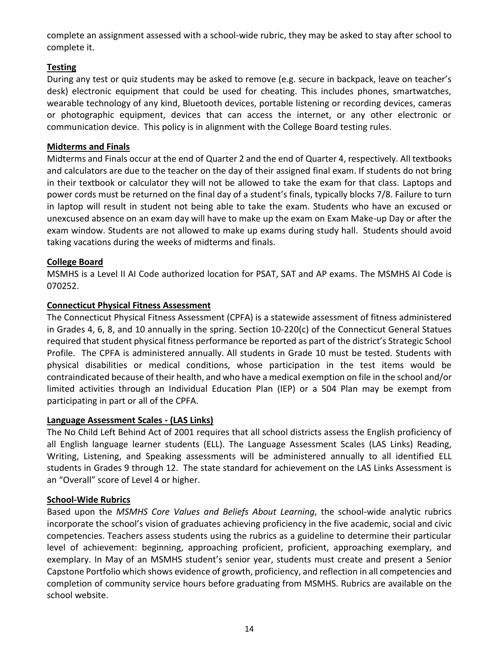complete an assignment assessed with a school-wide rubric, they may be asked to stay after school to complete it.

#### **Testing**

During any test or quiz students may be asked to remove (e.g. secure in backpack, leave on teacher's desk) electronic equipment that could be used for cheating. This includes phones, smartwatches, wearable technology of any kind, Bluetooth devices, portable listening or recording devices, cameras or photographic equipment, devices that can access the internet, or any other electronic or communication device. This policy is in alignment with the College Board testing rules.

#### **Midterms and Finals**

Midterms and Finals occur at the end of Quarter 2 and the end of Quarter 4, respectively. All textbooks and calculators are due to the teacher on the day of their assigned final exam. If students do not bring in their textbook or calculator they will not be allowed to take the exam for that class. Laptops and power cords must be returned on the final day of a student's finals, typically blocks 7/8. Failure to turn in laptop will result in student not being able to take the exam. Students who have an excused or unexcused absence on an exam day will have to make up the exam on Exam Make-up Day or after the exam window. Students are not allowed to make up exams during study hall. Students should avoid taking vacations during the weeks of midterms and finals.

#### **College Board**

MSMHS is a Level II AI Code authorized location for PSAT, SAT and AP exams. The MSMHS AI Code is 070252.

#### **Connecticut Physical Fitness Assessment**

The Connecticut Physical Fitness Assessment (CPFA) is a statewide assessment of fitness administered in Grades 4, 6, 8, and 10 annually in the spring. Section 10-220(c) of the Connecticut General Statues required that student physical fitness performance be reported as part of the district's Strategic School Profile. The CPFA is administered annually. All students in Grade 10 must be tested. Students with physical disabilities or medical conditions, whose participation in the test items would be contraindicated because of their health, and who have a medical exemption on file in the school and/or limited activities through an Individual Education Plan (IEP) or a 504 Plan may be exempt from participating in part or all of the CPFA.

#### **Language Assessment Scales - (LAS Links)**

The No Child Left Behind Act of 2001 requires that all school districts assess the English proficiency of all English language learner students (ELL). The Language Assessment Scales (LAS Links) Reading, Writing, Listening, and Speaking assessments will be administered annually to all identified ELL students in Grades 9 through 12. The state standard for achievement on the LAS Links Assessment is an "Overall" score of Level 4 or higher.

#### **School-Wide Rubrics**

Based upon the *MSMHS Core Values and Beliefs About Learning*, the school-wide analytic rubrics incorporate the school's vision of graduates achieving proficiency in the five academic, social and civic competencies. Teachers assess students using the rubrics as a guideline to determine their particular level of achievement: beginning, approaching proficient, proficient, approaching exemplary, and exemplary. In May of an MSMHS student's senior year, students must create and present a Senior Capstone Portfolio which shows evidence of growth, proficiency, and reflection in all competencies and completion of community service hours before graduating from MSMHS. Rubrics are available on the school website.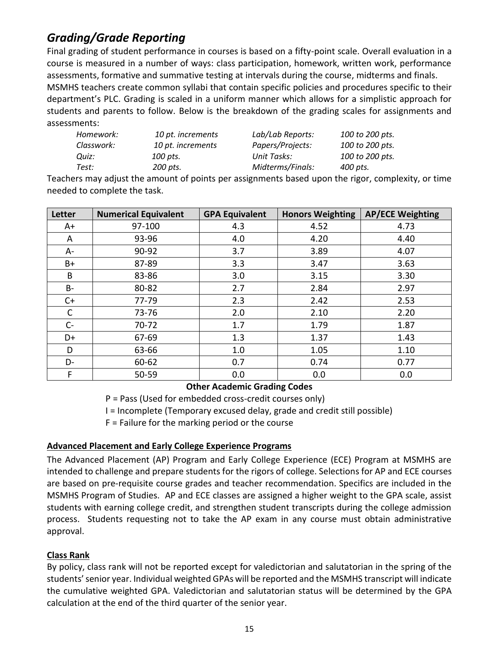# *Grading/Grade Reporting*

Final grading of student performance in courses is based on a fifty-point scale. Overall evaluation in a course is measured in a number of ways: class participation, homework, written work, performance assessments, formative and summative testing at intervals during the course, midterms and finals. MSMHS teachers create common syllabi that contain specific policies and procedures specific to their department's PLC. Grading is scaled in a uniform manner which allows for a simplistic approach for students and parents to follow. Below is the breakdown of the grading scales for assignments and assessments:

| Homework:  | 10 pt. increments | Lab/Lab Reports: | 100 to 200 pts. |
|------------|-------------------|------------------|-----------------|
| Classwork: | 10 pt. increments | Papers/Projects: | 100 to 200 pts. |
| Ouiz:      | 100 pts.          | Unit Tasks:      | 100 to 200 pts. |
| Test:      | 200 pts.          | Midterms/Finals: | 400 pts.        |

Teachers may adjust the amount of points per assignments based upon the rigor, complexity, or time needed to complete the task.

| Letter       | <b>Numerical Equivalent</b> | <b>GPA Equivalent</b> | <b>Honors Weighting</b> | <b>AP/ECE Weighting</b> |
|--------------|-----------------------------|-----------------------|-------------------------|-------------------------|
| A+           | 97-100                      | 4.3                   | 4.52                    | 4.73                    |
| A            | 93-96                       | 4.0                   | 4.20                    | 4.40                    |
| A-           | 90-92                       | 3.7                   | 3.89                    | 4.07                    |
| B+           | 87-89                       | 3.3                   | 3.47                    | 3.63                    |
| B            | 83-86                       | 3.0                   | 3.15                    | 3.30                    |
| <b>B-</b>    | 80-82                       | 2.7                   | 2.84                    | 2.97                    |
| $C+$         | 77-79                       | 2.3                   | 2.42                    | 2.53                    |
| $\mathsf{C}$ | 73-76                       | 2.0                   | 2.10                    | 2.20                    |
| $C -$        | $70 - 72$                   | 1.7                   | 1.79                    | 1.87                    |
| D+           | 67-69                       | 1.3                   | 1.37                    | 1.43                    |
| D            | 63-66                       | 1.0                   | 1.05                    | 1.10                    |
| D-           | 60-62                       | 0.7                   | 0.74                    | 0.77                    |
| F            | 50-59                       | 0.0                   | 0.0                     | 0.0                     |

#### **Other Academic Grading Codes**

P = Pass (Used for embedded cross-credit courses only)

I = Incomplete (Temporary excused delay, grade and credit still possible)

F = Failure for the marking period or the course

#### **Advanced Placement and Early College Experience Programs**

The Advanced Placement (AP) Program and Early College Experience (ECE) Program at MSMHS are intended to challenge and prepare students for the rigors of college. Selections for AP and ECE courses are based on pre-requisite course grades and teacher recommendation. Specifics are included in the MSMHS Program of Studies. AP and ECE classes are assigned a higher weight to the GPA scale, assist students with earning college credit, and strengthen student transcripts during the college admission process. Students requesting not to take the AP exam in any course must obtain administrative approval.

#### **Class Rank**

By policy, class rank will not be reported except for valedictorian and salutatorian in the spring of the students' senior year. Individual weighted GPAs will be reported and the MSMHS transcript will indicate the cumulative weighted GPA. Valedictorian and salutatorian status will be determined by the GPA calculation at the end of the third quarter of the senior year.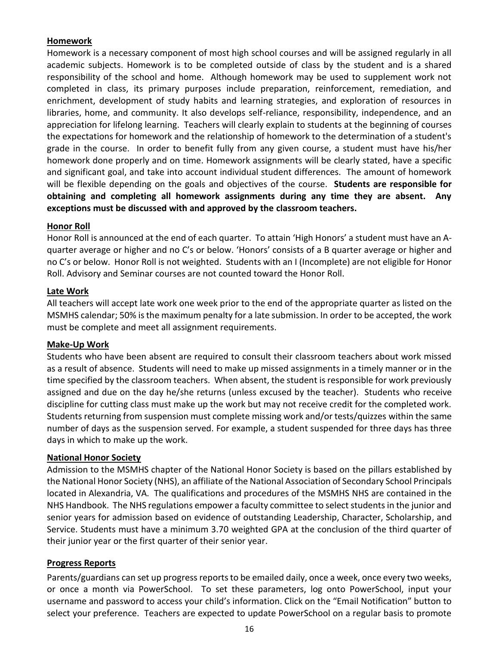#### **Homework**

Homework is a necessary component of most high school courses and will be assigned regularly in all academic subjects. Homework is to be completed outside of class by the student and is a shared responsibility of the school and home. Although homework may be used to supplement work not completed in class, its primary purposes include preparation, reinforcement, remediation, and enrichment, development of study habits and learning strategies, and exploration of resources in libraries, home, and community. It also develops self-reliance, responsibility, independence, and an appreciation for lifelong learning. Teachers will clearly explain to students at the beginning of courses the expectations for homework and the relationship of homework to the determination of a student's grade in the course. In order to benefit fully from any given course, a student must have his/her homework done properly and on time. Homework assignments will be clearly stated, have a specific and significant goal, and take into account individual student differences. The amount of homework will be flexible depending on the goals and objectives of the course. **Students are responsible for obtaining and completing all homework assignments during any time they are absent. Any exceptions must be discussed with and approved by the classroom teachers.**

#### **Honor Roll**

Honor Roll is announced at the end of each quarter. To attain 'High Honors' a student must have an Aquarter average or higher and no C's or below. 'Honors' consists of a B quarter average or higher and no C's or below. Honor Roll is not weighted. Students with an I (Incomplete) are not eligible for Honor Roll. Advisory and Seminar courses are not counted toward the Honor Roll.

#### **Late Work**

All teachers will accept late work one week prior to the end of the appropriate quarter as listed on the MSMHS calendar; 50% is the maximum penalty for a late submission. In order to be accepted, the work must be complete and meet all assignment requirements.

#### **Make-Up Work**

Students who have been absent are required to consult their classroom teachers about work missed as a result of absence. Students will need to make up missed assignments in a timely manner or in the time specified by the classroom teachers. When absent, the student is responsible for work previously assigned and due on the day he/she returns (unless excused by the teacher). Students who receive discipline for cutting class must make up the work but may not receive credit for the completed work. Students returning from suspension must complete missing work and/or tests/quizzes within the same number of days as the suspension served. For example, a student suspended for three days has three days in which to make up the work.

#### **National Honor Society**

Admission to the MSMHS chapter of the National Honor Society is based on the pillars established by the National Honor Society (NHS), an affiliate of the National Association of Secondary School Principals located in Alexandria, VA. The qualifications and procedures of the MSMHS NHS are contained in the NHS Handbook. The NHS regulations empower a faculty committee to select students in the junior and senior years for admission based on evidence of outstanding Leadership, Character, Scholarship, and Service. Students must have a minimum 3.70 weighted GPA at the conclusion of the third quarter of their junior year or the first quarter of their senior year.

#### **Progress Reports**

Parents/guardians can set up progress reports to be emailed daily, once a week, once every two weeks, or once a month via PowerSchool. To set these parameters, log onto PowerSchool, input your username and password to access your child's information. Click on the "Email Notification" button to select your preference. Teachers are expected to update PowerSchool on a regular basis to promote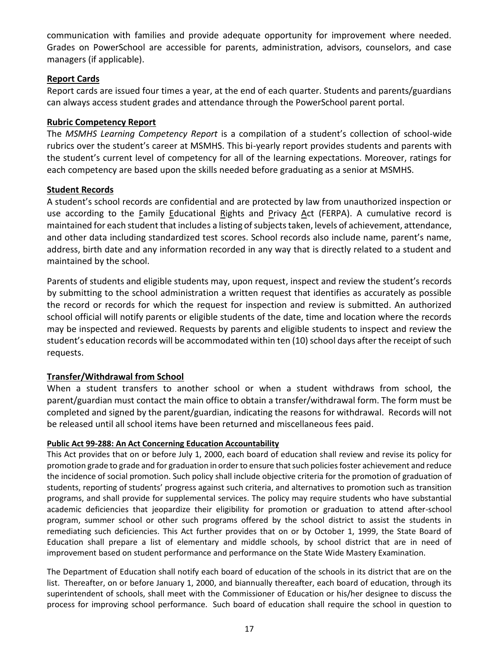communication with families and provide adequate opportunity for improvement where needed. Grades on PowerSchool are accessible for parents, administration, advisors, counselors, and case managers (if applicable).

#### **Report Cards**

Report cards are issued four times a year, at the end of each quarter. Students and parents/guardians can always access student grades and attendance through the PowerSchool parent portal.

#### **Rubric Competency Report**

The *MSMHS Learning Competency Report* is a compilation of a student's collection of school-wide rubrics over the student's career at MSMHS. This bi-yearly report provides students and parents with the student's current level of competency for all of the learning expectations. Moreover, ratings for each competency are based upon the skills needed before graduating as a senior at MSMHS.

#### **Student Records**

A student's school records are confidential and are protected by law from unauthorized inspection or use according to the Family Educational Rights and Privacy Act (FERPA). A cumulative record is maintained for each student that includes a listing of subjects taken, levels of achievement, attendance, and other data including standardized test scores. School records also include name, parent's name, address, birth date and any information recorded in any way that is directly related to a student and maintained by the school.

Parents of students and eligible students may, upon request, inspect and review the student's records by submitting to the school administration a written request that identifies as accurately as possible the record or records for which the request for inspection and review is submitted. An authorized school official will notify parents or eligible students of the date, time and location where the records may be inspected and reviewed. Requests by parents and eligible students to inspect and review the student's education records will be accommodated within ten (10) school days after the receipt of such requests.

#### **Transfer/Withdrawal from School**

When a student transfers to another school or when a student withdraws from school, the parent/guardian must contact the main office to obtain a transfer/withdrawal form. The form must be completed and signed by the parent/guardian, indicating the reasons for withdrawal. Records will not be released until all school items have been returned and miscellaneous fees paid.

#### **Public Act 99-288: An Act Concerning Education Accountability**

This Act provides that on or before July 1, 2000, each board of education shall review and revise its policy for promotion grade to grade and for graduation in order to ensure that such policies foster achievement and reduce the incidence of social promotion. Such policy shall include objective criteria for the promotion of graduation of students, reporting of students' progress against such criteria, and alternatives to promotion such as transition programs, and shall provide for supplemental services. The policy may require students who have substantial academic deficiencies that jeopardize their eligibility for promotion or graduation to attend after-school program, summer school or other such programs offered by the school district to assist the students in remediating such deficiencies. This Act further provides that on or by October 1, 1999, the State Board of Education shall prepare a list of elementary and middle schools, by school district that are in need of improvement based on student performance and performance on the State Wide Mastery Examination.

The Department of Education shall notify each board of education of the schools in its district that are on the list. Thereafter, on or before January 1, 2000, and biannually thereafter, each board of education, through its superintendent of schools, shall meet with the Commissioner of Education or his/her designee to discuss the process for improving school performance. Such board of education shall require the school in question to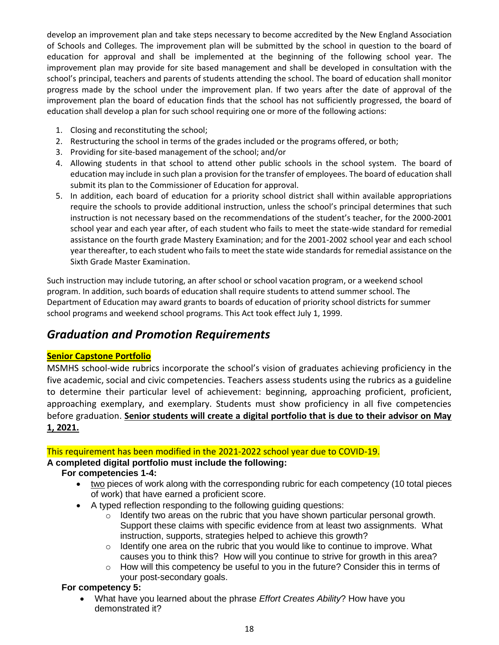develop an improvement plan and take steps necessary to become accredited by the New England Association of Schools and Colleges. The improvement plan will be submitted by the school in question to the board of education for approval and shall be implemented at the beginning of the following school year. The improvement plan may provide for site based management and shall be developed in consultation with the school's principal, teachers and parents of students attending the school. The board of education shall monitor progress made by the school under the improvement plan. If two years after the date of approval of the improvement plan the board of education finds that the school has not sufficiently progressed, the board of education shall develop a plan for such school requiring one or more of the following actions:

- 1. Closing and reconstituting the school;
- 2. Restructuring the school in terms of the grades included or the programs offered, or both;
- 3. Providing for site-based management of the school; and/or
- 4. Allowing students in that school to attend other public schools in the school system. The board of education may include in such plan a provision for the transfer of employees. The board of education shall submit its plan to the Commissioner of Education for approval.
- 5. In addition, each board of education for a priority school district shall within available appropriations require the schools to provide additional instruction, unless the school's principal determines that such instruction is not necessary based on the recommendations of the student's teacher, for the 2000-2001 school year and each year after, of each student who fails to meet the state-wide standard for remedial assistance on the fourth grade Mastery Examination; and for the 2001-2002 school year and each school year thereafter, to each student who fails to meet the state wide standards for remedial assistance on the Sixth Grade Master Examination.

Such instruction may include tutoring, an after school or school vacation program, or a weekend school program. In addition, such boards of education shall require students to attend summer school. The Department of Education may award grants to boards of education of priority school districts for summer school programs and weekend school programs. This Act took effect July 1, 1999.

# *Graduation and Promotion Requirements*

### **Senior Capstone Portfolio**

MSMHS school-wide rubrics incorporate the school's vision of graduates achieving proficiency in the five academic, social and civic competencies. Teachers assess students using the rubrics as a guideline to determine their particular level of achievement: beginning, approaching proficient, proficient, approaching exemplary, and exemplary. Students must show proficiency in all five competencies before graduation. **Senior students will create a digital portfolio that is due to their advisor on May 1, 2021.** 

This requirement has been modified in the 2021-2022 school year due to COVID-19.

### **A completed digital portfolio must include the following:**

### **For competencies 1-4:**

- two pieces of work along with the corresponding rubric for each competency (10 total pieces of work) that have earned a proficient score.
- A typed reflection responding to the following guiding questions:
	- o Identify two areas on the rubric that you have shown particular personal growth. Support these claims with specific evidence from at least two assignments. What instruction, supports, strategies helped to achieve this growth?
	- $\circ$  Identify one area on the rubric that you would like to continue to improve. What causes you to think this? How will you continue to strive for growth in this area?
	- $\circ$  How will this competency be useful to you in the future? Consider this in terms of your post-secondary goals.

### **For competency 5:**

• What have you learned about the phrase *Effort Creates Ability*? How have you demonstrated it?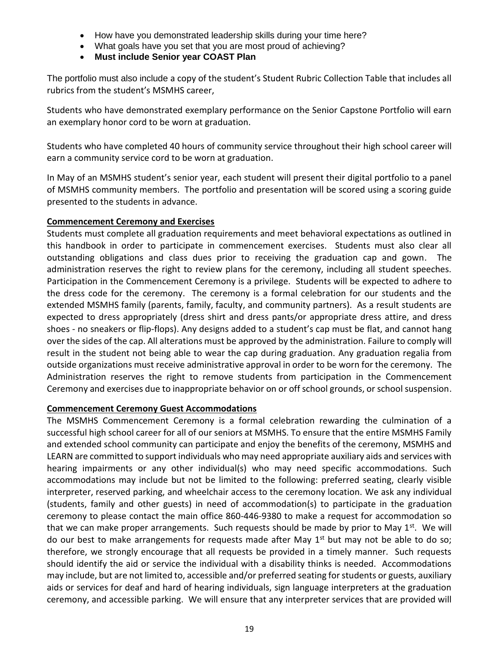- How have you demonstrated leadership skills during your time here?
- What goals have you set that you are most proud of achieving?
- **Must include Senior year COAST Plan**

The portfolio must also include a copy of the student's Student Rubric Collection Table that includes all rubrics from the student's MSMHS career,

Students who have demonstrated exemplary performance on the Senior Capstone Portfolio will earn an exemplary honor cord to be worn at graduation.

Students who have completed 40 hours of community service throughout their high school career will earn a community service cord to be worn at graduation.

In May of an MSMHS student's senior year, each student will present their digital portfolio to a panel of MSMHS community members. The portfolio and presentation will be scored using a scoring guide presented to the students in advance.

#### **Commencement Ceremony and Exercises**

Students must complete all graduation requirements and meet behavioral expectations as outlined in this handbook in order to participate in commencement exercises. Students must also clear all outstanding obligations and class dues prior to receiving the graduation cap and gown. The administration reserves the right to review plans for the ceremony, including all student speeches. Participation in the Commencement Ceremony is a privilege. Students will be expected to adhere to the dress code for the ceremony. The ceremony is a formal celebration for our students and the extended MSMHS family (parents, family, faculty, and community partners). As a result students are expected to dress appropriately (dress shirt and dress pants/or appropriate dress attire, and dress shoes - no sneakers or flip-flops). Any designs added to a student's cap must be flat, and cannot hang over the sides of the cap. All alterations must be approved by the administration. Failure to comply will result in the student not being able to wear the cap during graduation. Any graduation regalia from outside organizations must receive administrative approval in order to be worn for the ceremony. The Administration reserves the right to remove students from participation in the Commencement Ceremony and exercises due to inappropriate behavior on or off school grounds, or school suspension.

#### **Commencement Ceremony Guest Accommodations**

The MSMHS Commencement Ceremony is a formal celebration rewarding the culmination of a successful high school career for all of our seniors at MSMHS. To ensure that the entire MSMHS Family and extended school community can participate and enjoy the benefits of the ceremony, MSMHS and LEARN are committed to support individuals who may need appropriate auxiliary aids and services with hearing impairments or any other individual(s) who may need specific accommodations. Such accommodations may include but not be limited to the following: preferred seating, clearly visible interpreter, reserved parking, and wheelchair access to the ceremony location. We ask any individual (students, family and other guests) in need of accommodation(s) to participate in the graduation ceremony to please contact the main office 860-446-9380 to make a request for accommodation so that we can make proper arrangements. Such requests should be made by prior to May 1<sup>st</sup>. We will do our best to make arrangements for requests made after May  $1<sup>st</sup>$  but may not be able to do so; therefore, we strongly encourage that all requests be provided in a timely manner. Such requests should identify the aid or service the individual with a disability thinks is needed. Accommodations may include, but are not limited to, accessible and/or preferred seating for students or guests, auxiliary aids or services for deaf and hard of hearing individuals, sign language interpreters at the graduation ceremony, and accessible parking. We will ensure that any interpreter services that are provided will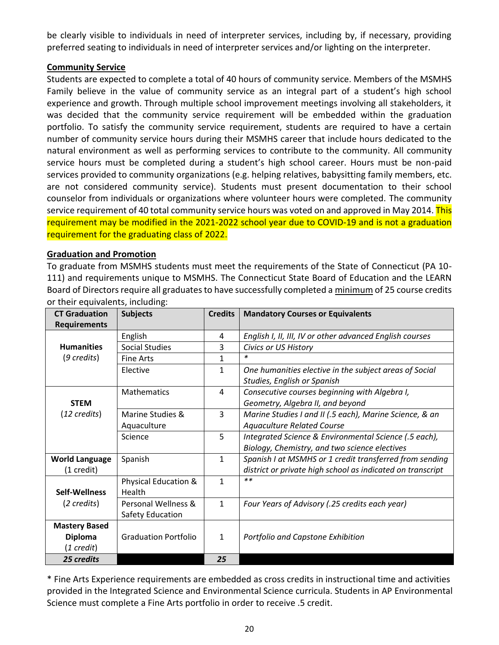be clearly visible to individuals in need of interpreter services, including by, if necessary, providing preferred seating to individuals in need of interpreter services and/or lighting on the interpreter.

#### **Community Service**

Students are expected to complete a total of 40 hours of community service. Members of the MSMHS Family believe in the value of community service as an integral part of a student's high school experience and growth. Through multiple school improvement meetings involving all stakeholders, it was decided that the community service requirement will be embedded within the graduation portfolio. To satisfy the community service requirement, students are required to have a certain number of community service hours during their MSMHS career that include hours dedicated to the natural environment as well as performing services to contribute to the community. All community service hours must be completed during a student's high school career. Hours must be non-paid services provided to community organizations (e.g. helping relatives, babysitting family members, etc. are not considered community service). Students must present documentation to their school counselor from individuals or organizations where volunteer hours were completed. The community service requirement of 40 total community service hours was voted on and approved in May 2014. This requirement may be modified in the 2021-2022 school year due to COVID-19 and is not a graduation requirement for the graduating class of 2022.

#### **Graduation and Promotion**

To graduate from MSMHS students must meet the requirements of the State of Connecticut (PA 10- 111) and requirements unique to MSMHS. The Connecticut State Board of Education and the LEARN Board of Directors require all graduates to have successfully completed a minimum of 25 course credits or their equivalents, including:

| <b>CT Graduation</b><br><b>Requirements</b> | <b>Subjects</b>                 | <b>Credits</b> | <b>Mandatory Courses or Equivalents</b>                                               |
|---------------------------------------------|---------------------------------|----------------|---------------------------------------------------------------------------------------|
|                                             | English                         | 4              | English I, II, III, IV or other advanced English courses                              |
| <b>Humanities</b>                           | <b>Social Studies</b>           | 3              | Civics or US History                                                                  |
| $(9 \text{ credits})$                       | <b>Fine Arts</b>                | 1              | $\ast$                                                                                |
|                                             | Elective                        | 1              | One humanities elective in the subject areas of Social<br>Studies, English or Spanish |
| <b>STEM</b>                                 | <b>Mathematics</b>              | 4              | Consecutive courses beginning with Algebra I,<br>Geometry, Algebra II, and beyond     |
| (12 credits)                                | Marine Studies &                | 3              | Marine Studies I and II (.5 each), Marine Science, & an                               |
|                                             | Aquaculture                     |                | <b>Aquaculture Related Course</b>                                                     |
|                                             | Science                         | 5              | Integrated Science & Environmental Science (.5 each),                                 |
|                                             |                                 |                | Biology, Chemistry, and two science electives                                         |
| <b>World Language</b>                       | Spanish                         | 1              | Spanish I at MSMHS or 1 credit transferred from sending                               |
| (1 credit)                                  |                                 |                | district or private high school as indicated on transcript                            |
|                                             | <b>Physical Education &amp;</b> | $\mathbf{1}$   | $***$                                                                                 |
| Self-Wellness                               | Health                          |                |                                                                                       |
| (2 credits)                                 | Personal Wellness &             | 1              | Four Years of Advisory (.25 credits each year)                                        |
|                                             | Safety Education                |                |                                                                                       |
| <b>Mastery Based</b>                        |                                 |                |                                                                                       |
| <b>Diploma</b>                              | <b>Graduation Portfolio</b>     | 1              | Portfolio and Capstone Exhibition                                                     |
| (1 credit)                                  |                                 |                |                                                                                       |
| 25 credits                                  |                                 | 25             |                                                                                       |

\* Fine Arts Experience requirements are embedded as cross credits in instructional time and activities provided in the Integrated Science and Environmental Science curricula. Students in AP Environmental Science must complete a Fine Arts portfolio in order to receive .5 credit.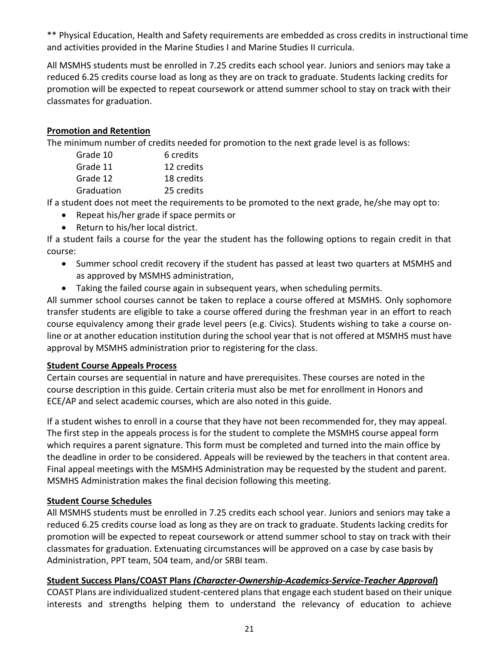\*\* Physical Education, Health and Safety requirements are embedded as cross credits in instructional time and activities provided in the Marine Studies I and Marine Studies II curricula.

All MSMHS students must be enrolled in 7.25 credits each school year. Juniors and seniors may take a reduced 6.25 credits course load as long as they are on track to graduate. Students lacking credits for promotion will be expected to repeat coursework or attend summer school to stay on track with their classmates for graduation.

#### **Promotion and Retention**

The minimum number of credits needed for promotion to the next grade level is as follows:

| Grade 10   | 6 credits  |
|------------|------------|
| Grade 11   | 12 credits |
| Grade 12   | 18 credits |
| Graduation | 25 credits |
|            |            |

If a student does not meet the requirements to be promoted to the next grade, he/she may opt to:

- Repeat his/her grade if space permits or
- Return to his/her local district.

If a student fails a course for the year the student has the following options to regain credit in that course:

- Summer school credit recovery if the student has passed at least two quarters at MSMHS and as approved by MSMHS administration,
- Taking the failed course again in subsequent years, when scheduling permits.

All summer school courses cannot be taken to replace a course offered at MSMHS. Only sophomore transfer students are eligible to take a course offered during the freshman year in an effort to reach course equivalency among their grade level peers (e.g. Civics). Students wishing to take a course online or at another education institution during the school year that is not offered at MSMHS must have approval by MSMHS administration prior to registering for the class.

#### **Student Course Appeals Process**

Certain courses are sequential in nature and have prerequisites. These courses are noted in the course description in this guide. Certain criteria must also be met for enrollment in Honors and ECE/AP and select academic courses, which are also noted in this guide.

If a student wishes to enroll in a course that they have not been recommended for, they may appeal. The first step in the appeals process is for the student to complete the MSMHS course appeal form which requires a parent signature. This form must be completed and turned into the main office by the deadline in order to be considered. Appeals will be reviewed by the teachers in that content area. Final appeal meetings with the MSMHS Administration may be requested by the student and parent. MSMHS Administration makes the final decision following this meeting.

#### **Student Course Schedules**

All MSMHS students must be enrolled in 7.25 credits each school year. Juniors and seniors may take a reduced 6.25 credits course load as long as they are on track to graduate. Students lacking credits for promotion will be expected to repeat coursework or attend summer school to stay on track with their classmates for graduation. Extenuating circumstances will be approved on a case by case basis by Administration, PPT team, 504 team, and/or SRBI team.

#### **Student Success Plans/COAST Plans** *(Character-Ownership-Academics-Service-Teacher Approval***)**

COAST Plans are individualized student-centered plans that engage each student based on their unique interests and strengths helping them to understand the relevancy of education to achieve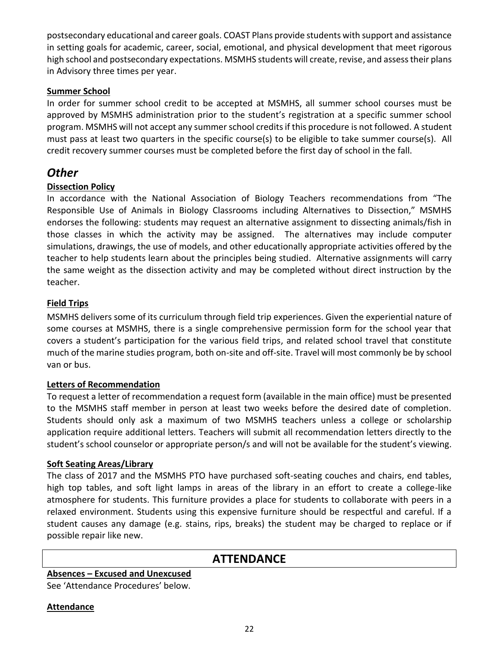postsecondary educational and career goals. COAST Plans provide students with support and assistance in setting goals for academic, career, social, emotional, and physical development that meet rigorous high school and postsecondary expectations. MSMHS students will create, revise, and assess their plans in Advisory three times per year.

#### **Summer School**

In order for summer school credit to be accepted at MSMHS, all summer school courses must be approved by MSMHS administration prior to the student's registration at a specific summer school program. MSMHS will not accept any summer school credits if this procedure is not followed. A student must pass at least two quarters in the specific course(s) to be eligible to take summer course(s). All credit recovery summer courses must be completed before the first day of school in the fall.

# *Other*

#### **Dissection Policy**

In accordance with the National Association of Biology Teachers recommendations from "The Responsible Use of Animals in Biology Classrooms including Alternatives to Dissection," MSMHS endorses the following: students may request an alternative assignment to dissecting animals/fish in those classes in which the activity may be assigned. The alternatives may include computer simulations, drawings, the use of models, and other educationally appropriate activities offered by the teacher to help students learn about the principles being studied. Alternative assignments will carry the same weight as the dissection activity and may be completed without direct instruction by the teacher.

#### **Field Trips**

MSMHS delivers some of its curriculum through field trip experiences. Given the experiential nature of some courses at MSMHS, there is a single comprehensive permission form for the school year that covers a student's participation for the various field trips, and related school travel that constitute much of the marine studies program, both on-site and off-site. Travel will most commonly be by school van or bus.

#### **Letters of Recommendation**

To request a letter of recommendation a request form (available in the main office) must be presented to the MSMHS staff member in person at least two weeks before the desired date of completion. Students should only ask a maximum of two MSMHS teachers unless a college or scholarship application require additional letters. Teachers will submit all recommendation letters directly to the student's school counselor or appropriate person/s and will not be available for the student's viewing.

#### **Soft Seating Areas/Library**

The class of 2017 and the MSMHS PTO have purchased soft-seating couches and chairs, end tables, high top tables, and soft light lamps in areas of the library in an effort to create a college-like atmosphere for students. This furniture provides a place for students to collaborate with peers in a relaxed environment. Students using this expensive furniture should be respectful and careful. If a student causes any damage (e.g. stains, rips, breaks) the student may be charged to replace or if possible repair like new.

# **ATTENDANCE**

### **Absences – Excused and Unexcused**

See 'Attendance Procedures' below.

#### **Attendance**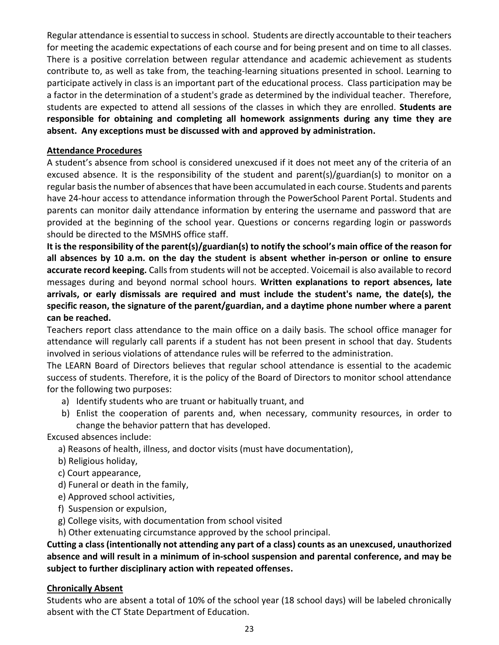Regular attendance is essential to success in school. Students are directly accountable to their teachers for meeting the academic expectations of each course and for being present and on time to all classes. There is a positive correlation between regular attendance and academic achievement as students contribute to, as well as take from, the teaching-learning situations presented in school. Learning to participate actively in class is an important part of the educational process. Class participation may be a factor in the determination of a student's grade as determined by the individual teacher. Therefore, students are expected to attend all sessions of the classes in which they are enrolled. **Students are responsible for obtaining and completing all homework assignments during any time they are absent. Any exceptions must be discussed with and approved by administration.**

#### **Attendance Procedures**

A student's absence from school is considered unexcused if it does not meet any of the criteria of an excused absence. It is the responsibility of the student and parent(s)/guardian(s) to monitor on a regular basis the number of absences that have been accumulated in each course. Students and parents have 24-hour access to attendance information through the PowerSchool Parent Portal. Students and parents can monitor daily attendance information by entering the username and password that are provided at the beginning of the school year. Questions or concerns regarding login or passwords should be directed to the MSMHS office staff.

**It is the responsibility of the parent(s)/guardian(s) to notify the school's main office of the reason for all absences by 10 a.m. on the day the student is absent whether in-person or online to ensure accurate record keeping.** Calls from students will not be accepted. Voicemail is also available to record messages during and beyond normal school hours. **Written explanations to report absences, late arrivals, or early dismissals are required and must include the student's name, the date(s), the specific reason, the signature of the parent/guardian, and a daytime phone number where a parent can be reached.** 

Teachers report class attendance to the main office on a daily basis. The school office manager for attendance will regularly call parents if a student has not been present in school that day. Students involved in serious violations of attendance rules will be referred to the administration.

The LEARN Board of Directors believes that regular school attendance is essential to the academic success of students. Therefore, it is the policy of the Board of Directors to monitor school attendance for the following two purposes:

- a) Identify students who are truant or habitually truant, and
- b) Enlist the cooperation of parents and, when necessary, community resources, in order to change the behavior pattern that has developed.

Excused absences include:

- a) Reasons of health, illness, and doctor visits (must have documentation),
- b) Religious holiday,
- c) Court appearance,
- d) Funeral or death in the family,
- e) Approved school activities,
- f) Suspension or expulsion,
- g) College visits, with documentation from school visited
- h) Other extenuating circumstance approved by the school principal.

#### **Cutting a class (intentionally not attending any part of a class) counts as an unexcused, unauthorized absence and will result in a minimum of in-school suspension and parental conference, and may be subject to further disciplinary action with repeated offenses.**

#### **Chronically Absent**

Students who are absent a total of 10% of the school year (18 school days) will be labeled chronically absent with the CT State Department of Education.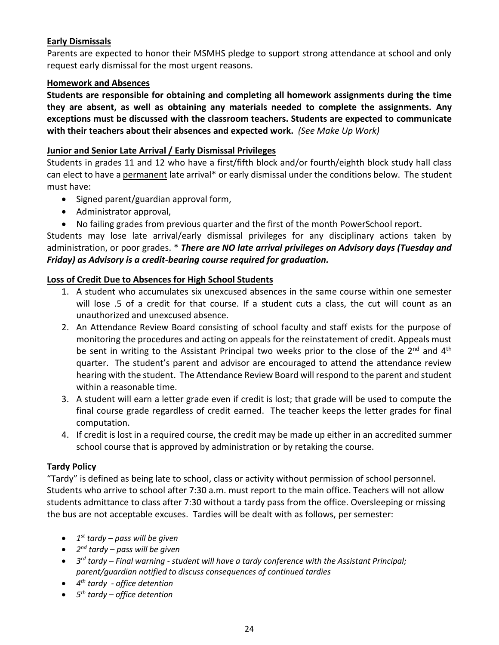#### **Early Dismissals**

Parents are expected to honor their MSMHS pledge to support strong attendance at school and only request early dismissal for the most urgent reasons.

#### **Homework and Absences**

**Students are responsible for obtaining and completing all homework assignments during the time they are absent, as well as obtaining any materials needed to complete the assignments. Any exceptions must be discussed with the classroom teachers. Students are expected to communicate with their teachers about their absences and expected work.** *(See Make Up Work)*

#### **Junior and Senior Late Arrival / Early Dismissal Privileges**

Students in grades 11 and 12 who have a first/fifth block and/or fourth/eighth block study hall class can elect to have a permanent late arrival\* or early dismissal under the conditions below. The student must have:

- Signed parent/guardian approval form,
- Administrator approval,
- No failing grades from previous quarter and the first of the month PowerSchool report.

Students may lose late arrival/early dismissal privileges for any disciplinary actions taken by administration, or poor grades. \* *There are NO late arrival privileges on Advisory days (Tuesday and Friday) as Advisory is a credit-bearing course required for graduation.*

#### **Loss of Credit Due to Absences for High School Students**

- 1. A student who accumulates six unexcused absences in the same course within one semester will lose .5 of a credit for that course. If a student cuts a class, the cut will count as an unauthorized and unexcused absence.
- 2. An Attendance Review Board consisting of school faculty and staff exists for the purpose of monitoring the procedures and acting on appeals for the reinstatement of credit. Appeals must be sent in writing to the Assistant Principal two weeks prior to the close of the 2<sup>nd</sup> and 4<sup>th</sup> quarter. The student's parent and advisor are encouraged to attend the attendance review hearing with the student. The Attendance Review Board will respond to the parent and student within a reasonable time.
- 3. A student will earn a letter grade even if credit is lost; that grade will be used to compute the final course grade regardless of credit earned. The teacher keeps the letter grades for final computation.
- 4. If credit is lost in a required course, the credit may be made up either in an accredited summer school course that is approved by administration or by retaking the course.

#### **Tardy Policy**

"Tardy" is defined as being late to school, class or activity without permission of school personnel. Students who arrive to school after 7:30 a.m. must report to the main office. Teachers will not allow students admittance to class after 7:30 without a tardy pass from the office. Oversleeping or missing the bus are not acceptable excuses. Tardies will be dealt with as follows, per semester:

- *1 st tardy – pass will be given*
- *2 nd tardy – pass will be given*
- *3 rd tardy – Final warning - student will have a tardy conference with the Assistant Principal; parent/guardian notified to discuss consequences of continued tardies*
- *4 th tardy - office detention*
- *5 th tardy – office detention*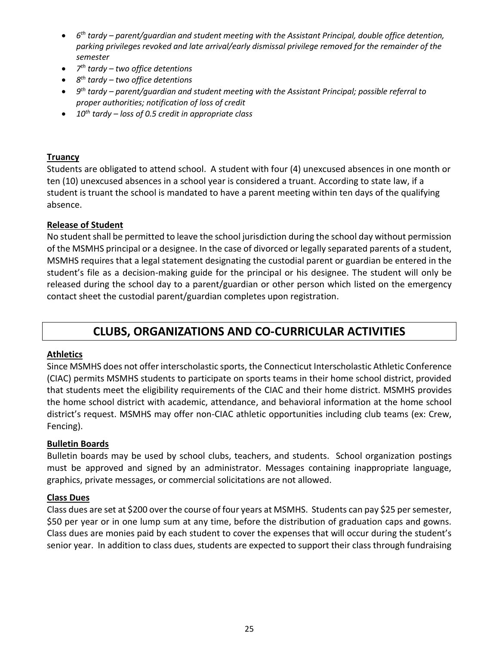- *6 th tardy – parent/guardian and student meeting with the Assistant Principal, double office detention, parking privileges revoked and late arrival/early dismissal privilege removed for the remainder of the semester*
- *7 th tardy – two office detentions*
- *8 th tardy – two office detentions*
- *9 th tardy – parent/guardian and student meeting with the Assistant Principal; possible referral to proper authorities; notification of loss of credit*
- *10th tardy – loss of 0.5 credit in appropriate class*

#### **Truancy**

Students are obligated to attend school. A student with four (4) unexcused absences in one month or ten (10) unexcused absences in a school year is considered a truant. According to state law, if a student is truant the school is mandated to have a parent meeting within ten days of the qualifying absence.

#### **Release of Student**

No student shall be permitted to leave the school jurisdiction during the school day without permission of the MSMHS principal or a designee. In the case of divorced or legally separated parents of a student, MSMHS requires that a legal statement designating the custodial parent or guardian be entered in the student's file as a decision-making guide for the principal or his designee. The student will only be released during the school day to a parent/guardian or other person which listed on the emergency contact sheet the custodial parent/guardian completes upon registration.

# **CLUBS, ORGANIZATIONS AND CO-CURRICULAR ACTIVITIES**

#### **Athletics**

Since MSMHS does not offer interscholastic sports, the Connecticut Interscholastic Athletic Conference (CIAC) permits MSMHS students to participate on sports teams in their home school district, provided that students meet the eligibility requirements of the CIAC and their home district. MSMHS provides the home school district with academic, attendance, and behavioral information at the home school district's request. MSMHS may offer non-CIAC athletic opportunities including club teams (ex: Crew, Fencing).

#### **Bulletin Boards**

Bulletin boards may be used by school clubs, teachers, and students. School organization postings must be approved and signed by an administrator. Messages containing inappropriate language, graphics, private messages, or commercial solicitations are not allowed.

#### **Class Dues**

Class dues are set at \$200 over the course of four years at MSMHS. Students can pay \$25 per semester, \$50 per year or in one lump sum at any time, before the distribution of graduation caps and gowns. Class dues are monies paid by each student to cover the expenses that will occur during the student's senior year. In addition to class dues, students are expected to support their class through fundraising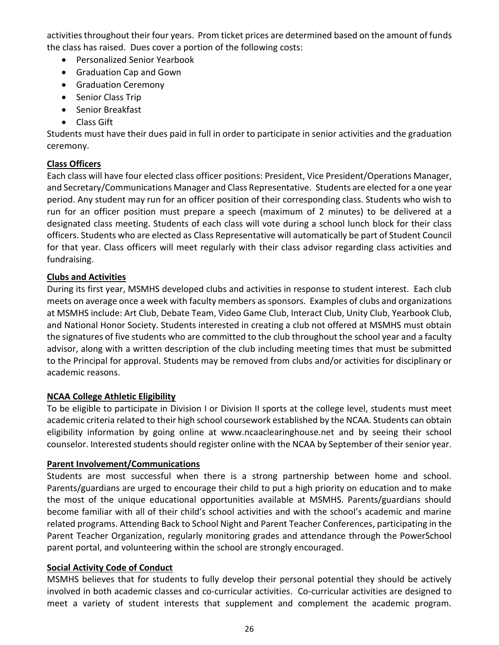activities throughout their four years. Prom ticket prices are determined based on the amount of funds the class has raised. Dues cover a portion of the following costs:

- Personalized Senior Yearbook
- Graduation Cap and Gown
- Graduation Ceremony
- Senior Class Trip
- Senior Breakfast
- Class Gift

Students must have their dues paid in full in order to participate in senior activities and the graduation ceremony.

#### **Class Officers**

Each class will have four elected class officer positions: President, Vice President/Operations Manager, and Secretary/Communications Manager and Class Representative. Students are elected for a one year period. Any student may run for an officer position of their corresponding class. Students who wish to run for an officer position must prepare a speech (maximum of 2 minutes) to be delivered at a designated class meeting. Students of each class will vote during a school lunch block for their class officers. Students who are elected as Class Representative will automatically be part of Student Council for that year. Class officers will meet regularly with their class advisor regarding class activities and fundraising.

#### **Clubs and Activities**

During its first year, MSMHS developed clubs and activities in response to student interest. Each club meets on average once a week with faculty members as sponsors. Examples of clubs and organizations at MSMHS include: Art Club, Debate Team, Video Game Club, Interact Club, Unity Club, Yearbook Club, and National Honor Society. Students interested in creating a club not offered at MSMHS must obtain the signatures of five students who are committed to the club throughout the school year and a faculty advisor, along with a written description of the club including meeting times that must be submitted to the Principal for approval. Students may be removed from clubs and/or activities for disciplinary or academic reasons.

#### **NCAA College Athletic Eligibility**

To be eligible to participate in Division I or Division II sports at the college level, students must meet academic criteria related to their high school coursework established by the NCAA. Students can obtain eligibility information by going online at www.ncaaclearinghouse.net and by seeing their school counselor. Interested students should register online with the NCAA by September of their senior year.

#### **Parent Involvement/Communications**

Students are most successful when there is a strong partnership between home and school. Parents/guardians are urged to encourage their child to put a high priority on education and to make the most of the unique educational opportunities available at MSMHS. Parents/guardians should become familiar with all of their child's school activities and with the school's academic and marine related programs. Attending Back to School Night and Parent Teacher Conferences, participating in the Parent Teacher Organization, regularly monitoring grades and attendance through the PowerSchool parent portal, and volunteering within the school are strongly encouraged.

#### **Social Activity Code of Conduct**

MSMHS believes that for students to fully develop their personal potential they should be actively involved in both academic classes and co-curricular activities. Co-curricular activities are designed to meet a variety of student interests that supplement and complement the academic program.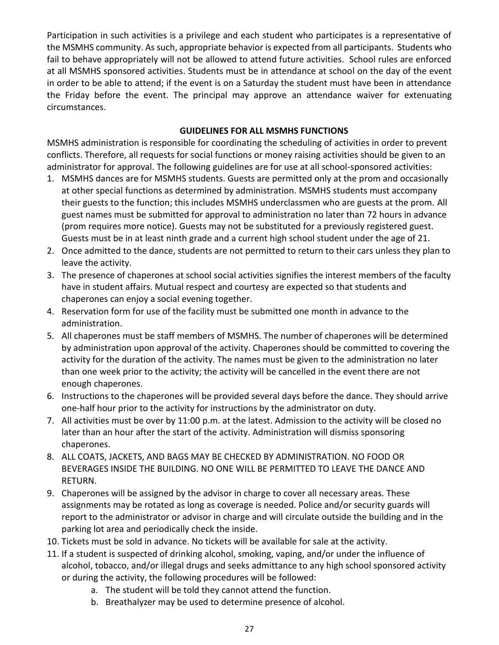Participation in such activities is a privilege and each student who participates is a representative of the MSMHS community. As such, appropriate behavior is expected from all participants. Students who fail to behave appropriately will not be allowed to attend future activities. School rules are enforced at all MSMHS sponsored activities. Students must be in attendance at school on the day of the event in order to be able to attend; if the event is on a Saturday the student must have been in attendance the Friday before the event. The principal may approve an attendance waiver for extenuating circumstances.

#### **GUIDELINES FOR ALL MSMHS FUNCTIONS**

MSMHS administration is responsible for coordinating the scheduling of activities in order to prevent conflicts. Therefore, all requests for social functions or money raising activities should be given to an administrator for approval. The following guidelines are for use at all school-sponsored activities:

- 1. MSMHS dances are for MSMHS students. Guests are permitted only at the prom and occasionally at other special functions as determined by administration. MSMHS students must accompany their guests to the function; this includes MSMHS underclassmen who are guests at the prom. All guest names must be submitted for approval to administration no later than 72 hours in advance (prom requires more notice). Guests may not be substituted for a previously registered guest. Guests must be in at least ninth grade and a current high school student under the age of 21.
- 2. Once admitted to the dance, students are not permitted to return to their cars unless they plan to leave the activity.
- 3. The presence of chaperones at school social activities signifies the interest members of the faculty have in student affairs. Mutual respect and courtesy are expected so that students and chaperones can enjoy a social evening together.
- 4. Reservation form for use of the facility must be submitted one month in advance to the administration.
- 5. All chaperones must be staff members of MSMHS. The number of chaperones will be determined by administration upon approval of the activity. Chaperones should be committed to covering the activity for the duration of the activity. The names must be given to the administration no later than one week prior to the activity; the activity will be cancelled in the event there are not enough chaperones.
- 6. Instructions to the chaperones will be provided several days before the dance. They should arrive one-half hour prior to the activity for instructions by the administrator on duty.
- 7. All activities must be over by 11:00 p.m. at the latest. Admission to the activity will be closed no later than an hour after the start of the activity. Administration will dismiss sponsoring chaperones.
- 8. ALL COATS, JACKETS, AND BAGS MAY BE CHECKED BY ADMINISTRATION. NO FOOD OR BEVERAGES INSIDE THE BUILDING. NO ONE WILL BE PERMITTED TO LEAVE THE DANCE AND RETURN.
- 9. Chaperones will be assigned by the advisor in charge to cover all necessary areas. These assignments may be rotated as long as coverage is needed. Police and/or security guards will report to the administrator or advisor in charge and will circulate outside the building and in the parking lot area and periodically check the inside.
- 10. Tickets must be sold in advance. No tickets will be available for sale at the activity.
- 11. If a student is suspected of drinking alcohol, smoking, vaping, and/or under the influence of alcohol, tobacco, and/or illegal drugs and seeks admittance to any high school sponsored activity or during the activity, the following procedures will be followed:
	- a. The student will be told they cannot attend the function.
	- b. Breathalyzer may be used to determine presence of alcohol.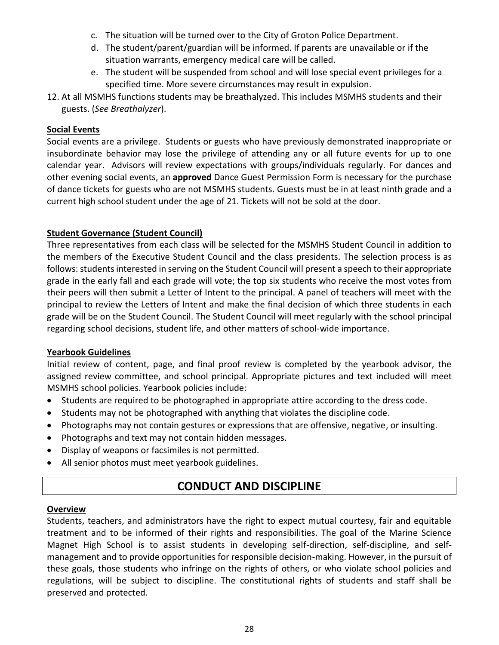- c. The situation will be turned over to the City of Groton Police Department.
- d. The student/parent/guardian will be informed. If parents are unavailable or if the situation warrants, emergency medical care will be called.
- e. The student will be suspended from school and will lose special event privileges for a specified time. More severe circumstances may result in expulsion.
- 12. At all MSMHS functions students may be breathalyzed. This includes MSMHS students and their guests. (*See Breathalyzer*).

#### **Social Events**

Social events are a privilege. Students or guests who have previously demonstrated inappropriate or insubordinate behavior may lose the privilege of attending any or all future events for up to one calendar year. Advisors will review expectations with groups/individuals regularly. For dances and other evening social events, an **approved** Dance Guest Permission Form is necessary for the purchase of dance tickets for guests who are not MSMHS students. Guests must be in at least ninth grade and a current high school student under the age of 21. Tickets will not be sold at the door.

#### **Student Governance (Student Council)**

Three representatives from each class will be selected for the MSMHS Student Council in addition to the members of the Executive Student Council and the class presidents. The selection process is as follows: students interested in serving on the Student Council will present a speech to their appropriate grade in the early fall and each grade will vote; the top six students who receive the most votes from their peers will then submit a Letter of Intent to the principal. A panel of teachers will meet with the principal to review the Letters of Intent and make the final decision of which three students in each grade will be on the Student Council. The Student Council will meet regularly with the school principal regarding school decisions, student life, and other matters of school-wide importance.

#### **Yearbook Guidelines**

Initial review of content, page, and final proof review is completed by the yearbook advisor, the assigned review committee, and school principal. Appropriate pictures and text included will meet MSMHS school policies. Yearbook policies include:

- Students are required to be photographed in appropriate attire according to the dress code.
- Students may not be photographed with anything that violates the discipline code.
- Photographs may not contain gestures or expressions that are offensive, negative, or insulting.
- Photographs and text may not contain hidden messages.
- Display of weapons or facsimiles is not permitted.
- All senior photos must meet yearbook guidelines.

# **CONDUCT AND DISCIPLINE**

#### **Overview**

Students, teachers, and administrators have the right to expect mutual courtesy, fair and equitable treatment and to be informed of their rights and responsibilities. The goal of the Marine Science Magnet High School is to assist students in developing self-direction, self-discipline, and selfmanagement and to provide opportunities for responsible decision-making. However, in the pursuit of these goals, those students who infringe on the rights of others, or who violate school policies and regulations, will be subject to discipline. The constitutional rights of students and staff shall be preserved and protected.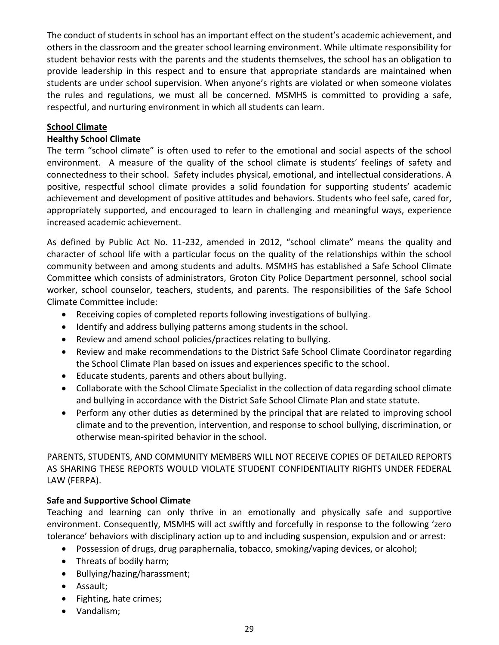The conduct of students in school has an important effect on the student's academic achievement, and others in the classroom and the greater school learning environment. While ultimate responsibility for student behavior rests with the parents and the students themselves, the school has an obligation to provide leadership in this respect and to ensure that appropriate standards are maintained when students are under school supervision. When anyone's rights are violated or when someone violates the rules and regulations, we must all be concerned. MSMHS is committed to providing a safe, respectful, and nurturing environment in which all students can learn.

#### **School Climate**

#### **Healthy School Climate**

The term "school climate" is often used to refer to the emotional and social aspects of the school environment. A measure of the quality of the school climate is students' feelings of safety and connectedness to their school. Safety includes physical, emotional, and intellectual considerations. A positive, respectful school climate provides a solid foundation for supporting students' academic achievement and development of positive attitudes and behaviors. Students who feel safe, cared for, appropriately supported, and encouraged to learn in challenging and meaningful ways, experience increased academic achievement.

As defined by Public Act No. 11-232, amended in 2012, "school climate" means the quality and character of school life with a particular focus on the quality of the relationships within the school community between and among students and adults. MSMHS has established a Safe School Climate Committee which consists of administrators, Groton City Police Department personnel, school social worker, school counselor, teachers, students, and parents. The responsibilities of the Safe School Climate Committee include:

- Receiving copies of completed reports following investigations of bullying.
- Identify and address bullying patterns among students in the school.
- Review and amend school policies/practices relating to bullying.
- Review and make recommendations to the District Safe School Climate Coordinator regarding the School Climate Plan based on issues and experiences specific to the school.
- Educate students, parents and others about bullying.
- Collaborate with the School Climate Specialist in the collection of data regarding school climate and bullying in accordance with the District Safe School Climate Plan and state statute.
- Perform any other duties as determined by the principal that are related to improving school climate and to the prevention, intervention, and response to school bullying, discrimination, or otherwise mean-spirited behavior in the school.

PARENTS, STUDENTS, AND COMMUNITY MEMBERS WILL NOT RECEIVE COPIES OF DETAILED REPORTS AS SHARING THESE REPORTS WOULD VIOLATE STUDENT CONFIDENTIALITY RIGHTS UNDER FEDERAL LAW (FERPA).

### **Safe and Supportive School Climate**

Teaching and learning can only thrive in an emotionally and physically safe and supportive environment. Consequently, MSMHS will act swiftly and forcefully in response to the following 'zero tolerance' behaviors with disciplinary action up to and including suspension, expulsion and or arrest:

- Possession of drugs, drug paraphernalia, tobacco, smoking/vaping devices, or alcohol;
- Threats of bodily harm;
- Bullying/hazing/harassment;
- Assault;
- Fighting, hate crimes;
- Vandalism;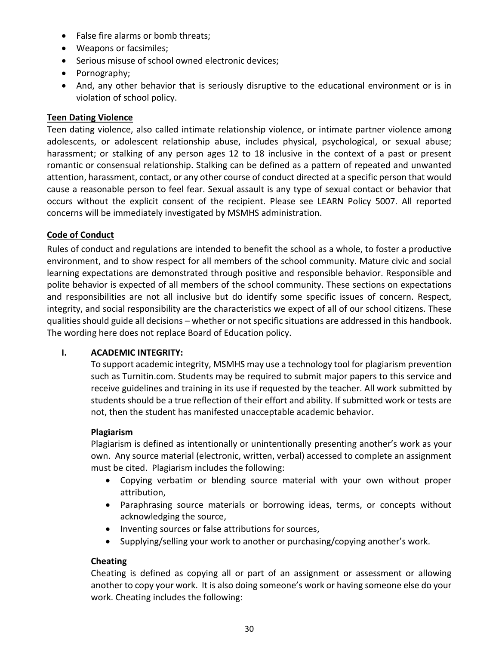- False fire alarms or bomb threats;
- Weapons or facsimiles;
- Serious misuse of school owned electronic devices;
- Pornography;
- And, any other behavior that is seriously disruptive to the educational environment or is in violation of school policy.

#### **Teen Dating Violence**

Teen dating violence, also called intimate relationship violence, or intimate partner violence among adolescents, or adolescent relationship abuse, includes physical, psychological, or sexual abuse; harassment; or stalking of any person ages 12 to 18 inclusive in the context of a past or present romantic or consensual relationship. Stalking can be defined as a pattern of repeated and unwanted attention, harassment, contact, or any other course of conduct directed at a specific person that would cause a reasonable person to feel fear. Sexual assault is any type of sexual contact or behavior that occurs without the explicit consent of the recipient. Please see LEARN Policy 5007. All reported concerns will be immediately investigated by MSMHS administration.

#### **Code of Conduct**

Rules of conduct and regulations are intended to benefit the school as a whole, to foster a productive environment, and to show respect for all members of the school community. Mature civic and social learning expectations are demonstrated through positive and responsible behavior. Responsible and polite behavior is expected of all members of the school community. These sections on expectations and responsibilities are not all inclusive but do identify some specific issues of concern. Respect, integrity, and social responsibility are the characteristics we expect of all of our school citizens. These qualities should guide all decisions – whether or not specific situations are addressed in this handbook. The wording here does not replace Board of Education policy.

#### **I. ACADEMIC INTEGRITY:**

To support academic integrity, MSMHS may use a technology tool for plagiarism prevention such as Turnitin.com. Students may be required to submit major papers to this service and receive guidelines and training in its use if requested by the teacher. All work submitted by students should be a true reflection of their effort and ability. If submitted work or tests are not, then the student has manifested unacceptable academic behavior.

#### **Plagiarism**

Plagiarism is defined as intentionally or unintentionally presenting another's work as your own. Any source material (electronic, written, verbal) accessed to complete an assignment must be cited. Plagiarism includes the following:

- Copying verbatim or blending source material with your own without proper attribution,
- Paraphrasing source materials or borrowing ideas, terms, or concepts without acknowledging the source,
- Inventing sources or false attributions for sources,
- Supplying/selling your work to another or purchasing/copying another's work.

#### **Cheating**

Cheating is defined as copying all or part of an assignment or assessment or allowing another to copy your work. It is also doing someone's work or having someone else do your work. Cheating includes the following: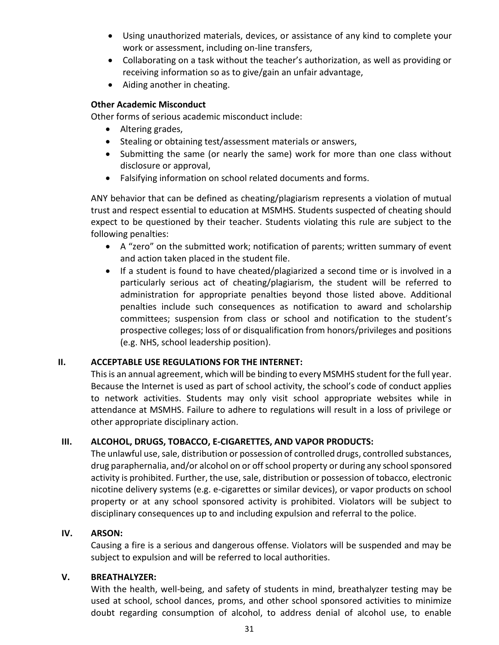- Using unauthorized materials, devices, or assistance of any kind to complete your work or assessment, including on-line transfers,
- Collaborating on a task without the teacher's authorization, as well as providing or receiving information so as to give/gain an unfair advantage,
- Aiding another in cheating.

#### **Other Academic Misconduct**

Other forms of serious academic misconduct include:

- Altering grades,
- Stealing or obtaining test/assessment materials or answers,
- Submitting the same (or nearly the same) work for more than one class without disclosure or approval,
- Falsifying information on school related documents and forms.

ANY behavior that can be defined as cheating/plagiarism represents a violation of mutual trust and respect essential to education at MSMHS. Students suspected of cheating should expect to be questioned by their teacher. Students violating this rule are subject to the following penalties:

- A "zero" on the submitted work; notification of parents; written summary of event and action taken placed in the student file.
- If a student is found to have cheated/plagiarized a second time or is involved in a particularly serious act of cheating/plagiarism, the student will be referred to administration for appropriate penalties beyond those listed above. Additional penalties include such consequences as notification to award and scholarship committees; suspension from class or school and notification to the student's prospective colleges; loss of or disqualification from honors/privileges and positions (e.g. NHS, school leadership position).

#### **II. ACCEPTABLE USE REGULATIONS FOR THE INTERNET:**

This is an annual agreement, which will be binding to every MSMHS student for the full year. Because the Internet is used as part of school activity, the school's code of conduct applies to network activities. Students may only visit school appropriate websites while in attendance at MSMHS. Failure to adhere to regulations will result in a loss of privilege or other appropriate disciplinary action.

#### **III. ALCOHOL, DRUGS, TOBACCO, E-CIGARETTES, AND VAPOR PRODUCTS:**

The unlawful use, sale, distribution or possession of controlled drugs, controlled substances, drug paraphernalia, and/or alcohol on or off school property or during any school sponsored activity is prohibited. Further, the use, sale, distribution or possession of tobacco, electronic nicotine delivery systems (e.g. e-cigarettes or similar devices), or vapor products on school property or at any school sponsored activity is prohibited. Violators will be subject to disciplinary consequences up to and including expulsion and referral to the police.

#### **IV. ARSON:**

Causing a fire is a serious and dangerous offense. Violators will be suspended and may be subject to expulsion and will be referred to local authorities.

#### **V. BREATHALYZER:**

With the health, well-being, and safety of students in mind, breathalyzer testing may be used at school, school dances, proms, and other school sponsored activities to minimize doubt regarding consumption of alcohol, to address denial of alcohol use, to enable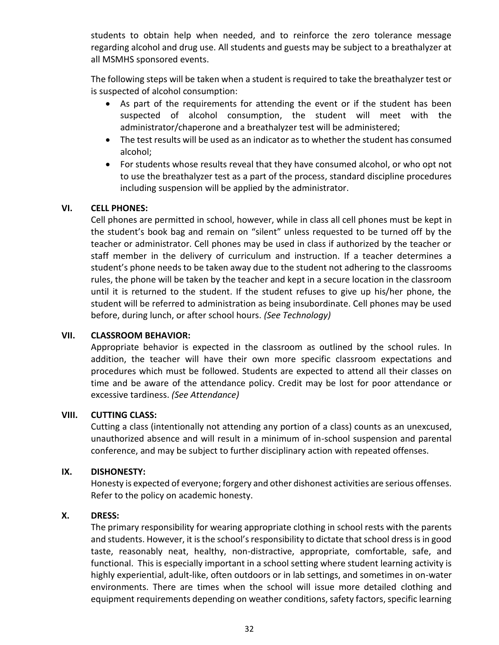students to obtain help when needed, and to reinforce the zero tolerance message regarding alcohol and drug use. All students and guests may be subject to a breathalyzer at all MSMHS sponsored events.

The following steps will be taken when a student is required to take the breathalyzer test or is suspected of alcohol consumption:

- As part of the requirements for attending the event or if the student has been suspected of alcohol consumption, the student will meet with the administrator/chaperone and a breathalyzer test will be administered;
- The test results will be used as an indicator as to whether the student has consumed alcohol;
- For students whose results reveal that they have consumed alcohol, or who opt not to use the breathalyzer test as a part of the process, standard discipline procedures including suspension will be applied by the administrator.

#### **VI. CELL PHONES:**

Cell phones are permitted in school, however, while in class all cell phones must be kept in the student's book bag and remain on "silent" unless requested to be turned off by the teacher or administrator. Cell phones may be used in class if authorized by the teacher or staff member in the delivery of curriculum and instruction. If a teacher determines a student's phone needs to be taken away due to the student not adhering to the classrooms rules, the phone will be taken by the teacher and kept in a secure location in the classroom until it is returned to the student. If the student refuses to give up his/her phone, the student will be referred to administration as being insubordinate. Cell phones may be used before, during lunch, or after school hours. *(See Technology)*

#### **VII. CLASSROOM BEHAVIOR:**

Appropriate behavior is expected in the classroom as outlined by the school rules. In addition, the teacher will have their own more specific classroom expectations and procedures which must be followed. Students are expected to attend all their classes on time and be aware of the attendance policy. Credit may be lost for poor attendance or excessive tardiness. *(See Attendance)*

#### **VIII. CUTTING CLASS:**

Cutting a class (intentionally not attending any portion of a class) counts as an unexcused, unauthorized absence and will result in a minimum of in-school suspension and parental conference, and may be subject to further disciplinary action with repeated offenses.

#### **IX. DISHONESTY:**

Honesty is expected of everyone; forgery and other dishonest activities are serious offenses. Refer to the policy on academic honesty.

#### **X. DRESS:**

The primary responsibility for wearing appropriate clothing in school rests with the parents and students. However, it is the school's responsibility to dictate that school dress is in good taste, reasonably neat, healthy, non-distractive, appropriate, comfortable, safe, and functional. This is especially important in a school setting where student learning activity is highly experiential, adult-like, often outdoors or in lab settings, and sometimes in on-water environments. There are times when the school will issue more detailed clothing and equipment requirements depending on weather conditions, safety factors, specific learning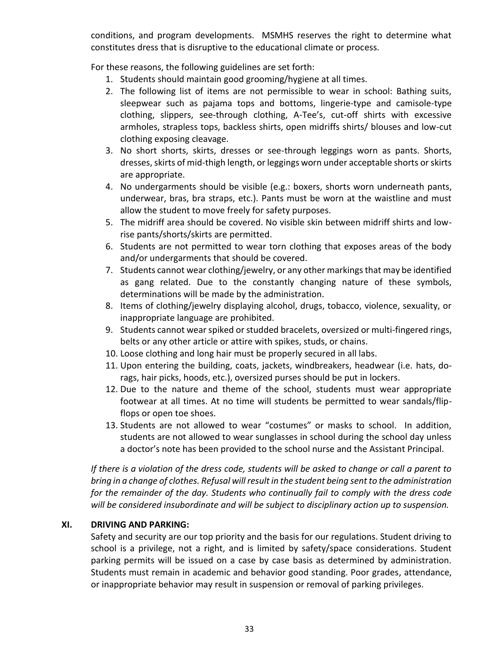conditions, and program developments. MSMHS reserves the right to determine what constitutes dress that is disruptive to the educational climate or process.

For these reasons, the following guidelines are set forth:

- 1. Students should maintain good grooming/hygiene at all times.
- 2. The following list of items are not permissible to wear in school: Bathing suits, sleepwear such as pajama tops and bottoms, lingerie-type and camisole-type clothing, slippers, see-through clothing, A-Tee's, cut-off shirts with excessive armholes, strapless tops, backless shirts, open midriffs shirts/ blouses and low-cut clothing exposing cleavage.
- 3. No short shorts, skirts, dresses or see-through leggings worn as pants. Shorts, dresses, skirts of mid-thigh length, or leggings worn under acceptable shorts or skirts are appropriate.
- 4. No undergarments should be visible (e.g.: boxers, shorts worn underneath pants, underwear, bras, bra straps, etc.). Pants must be worn at the waistline and must allow the student to move freely for safety purposes.
- 5. The midriff area should be covered. No visible skin between midriff shirts and lowrise pants/shorts/skirts are permitted.
- 6. Students are not permitted to wear torn clothing that exposes areas of the body and/or undergarments that should be covered.
- 7. Students cannot wear clothing/jewelry, or any other markings that may be identified as gang related. Due to the constantly changing nature of these symbols, determinations will be made by the administration.
- 8. Items of clothing/jewelry displaying alcohol, drugs, tobacco, violence, sexuality, or inappropriate language are prohibited.
- 9. Students cannot wear spiked or studded bracelets, oversized or multi-fingered rings, belts or any other article or attire with spikes, studs, or chains.
- 10. Loose clothing and long hair must be properly secured in all labs.
- 11. Upon entering the building, coats, jackets, windbreakers, headwear (i.e. hats, dorags, hair picks, hoods, etc.), oversized purses should be put in lockers.
- 12. Due to the nature and theme of the school, students must wear appropriate footwear at all times. At no time will students be permitted to wear sandals/flipflops or open toe shoes.
- 13. Students are not allowed to wear "costumes" or masks to school. In addition, students are not allowed to wear sunglasses in school during the school day unless a doctor's note has been provided to the school nurse and the Assistant Principal.

*If there is a violation of the dress code, students will be asked to change or call a parent to bring in a change of clothes. Refusal will result in the student being sent to the administration for the remainder of the day. Students who continually fail to comply with the dress code will be considered insubordinate and will be subject to disciplinary action up to suspension.*

#### **XI. DRIVING AND PARKING:**

Safety and security are our top priority and the basis for our regulations. Student driving to school is a privilege, not a right, and is limited by safety/space considerations. Student parking permits will be issued on a case by case basis as determined by administration. Students must remain in academic and behavior good standing. Poor grades, attendance, or inappropriate behavior may result in suspension or removal of parking privileges.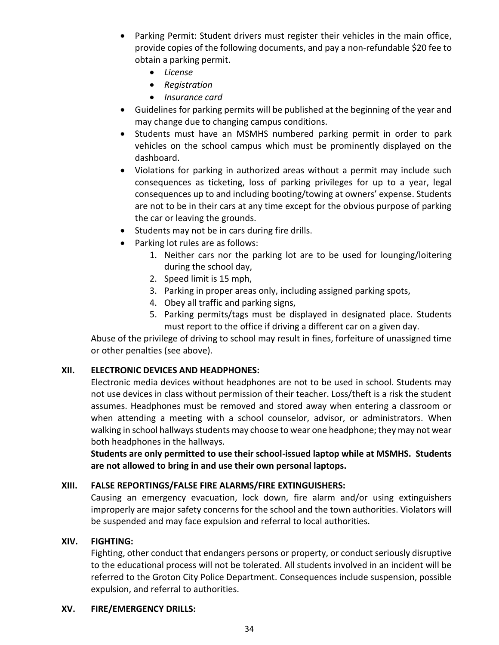- Parking Permit: Student drivers must register their vehicles in the main office, provide copies of the following documents, and pay a non-refundable \$20 fee to obtain a parking permit.
	- *License*
	- *Registration*
	- *Insurance card*
- Guidelines for parking permits will be published at the beginning of the year and may change due to changing campus conditions.
- Students must have an MSMHS numbered parking permit in order to park vehicles on the school campus which must be prominently displayed on the dashboard.
- Violations for parking in authorized areas without a permit may include such consequences as ticketing, loss of parking privileges for up to a year, legal consequences up to and including booting/towing at owners' expense. Students are not to be in their cars at any time except for the obvious purpose of parking the car or leaving the grounds.
- Students may not be in cars during fire drills.
- Parking lot rules are as follows:
	- 1. Neither cars nor the parking lot are to be used for lounging/loitering during the school day,
	- 2. Speed limit is 15 mph,
	- 3. Parking in proper areas only, including assigned parking spots,
	- 4. Obey all traffic and parking signs,
	- 5. Parking permits/tags must be displayed in designated place. Students must report to the office if driving a different car on a given day.

Abuse of the privilege of driving to school may result in fines, forfeiture of unassigned time or other penalties (see above).

#### **XII. ELECTRONIC DEVICES AND HEADPHONES:**

Electronic media devices without headphones are not to be used in school. Students may not use devices in class without permission of their teacher. Loss/theft is a risk the student assumes. Headphones must be removed and stored away when entering a classroom or when attending a meeting with a school counselor, advisor, or administrators. When walking in school hallways students may choose to wear one headphone; they may not wear both headphones in the hallways.

**Students are only permitted to use their school-issued laptop while at MSMHS. Students are not allowed to bring in and use their own personal laptops.**

#### **XIII. FALSE REPORTINGS/FALSE FIRE ALARMS/FIRE EXTINGUISHERS:**

Causing an emergency evacuation, lock down, fire alarm and/or using extinguishers improperly are major safety concerns for the school and the town authorities. Violators will be suspended and may face expulsion and referral to local authorities.

#### **XIV. FIGHTING:**

Fighting, other conduct that endangers persons or property, or conduct seriously disruptive to the educational process will not be tolerated. All students involved in an incident will be referred to the Groton City Police Department. Consequences include suspension, possible expulsion, and referral to authorities.

#### **XV. FIRE/EMERGENCY DRILLS:**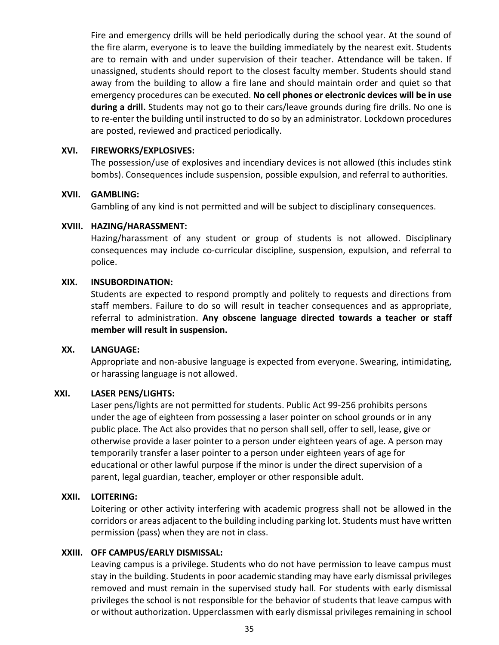Fire and emergency drills will be held periodically during the school year. At the sound of the fire alarm, everyone is to leave the building immediately by the nearest exit. Students are to remain with and under supervision of their teacher. Attendance will be taken. If unassigned, students should report to the closest faculty member. Students should stand away from the building to allow a fire lane and should maintain order and quiet so that emergency procedures can be executed. **No cell phones or electronic devices will be in use during a drill.** Students may not go to their cars/leave grounds during fire drills. No one is to re-enter the building until instructed to do so by an administrator. Lockdown procedures are posted, reviewed and practiced periodically.

#### **XVI. FIREWORKS/EXPLOSIVES:**

The possession/use of explosives and incendiary devices is not allowed (this includes stink bombs). Consequences include suspension, possible expulsion, and referral to authorities.

#### **XVII. GAMBLING:**

Gambling of any kind is not permitted and will be subject to disciplinary consequences.

#### **XVIII. HAZING/HARASSMENT:**

Hazing/harassment of any student or group of students is not allowed. Disciplinary consequences may include co-curricular discipline, suspension, expulsion, and referral to police.

#### **XIX. INSUBORDINATION:**

Students are expected to respond promptly and politely to requests and directions from staff members. Failure to do so will result in teacher consequences and as appropriate, referral to administration. **Any obscene language directed towards a teacher or staff member will result in suspension.**

#### **XX. LANGUAGE:**

Appropriate and non-abusive language is expected from everyone. Swearing, intimidating, or harassing language is not allowed.

#### **XXI. LASER PENS/LIGHTS:**

Laser pens/lights are not permitted for students. Public Act 99-256 prohibits persons under the age of eighteen from possessing a laser pointer on school grounds or in any public place. The Act also provides that no person shall sell, offer to sell, lease, give or otherwise provide a laser pointer to a person under eighteen years of age. A person may temporarily transfer a laser pointer to a person under eighteen years of age for educational or other lawful purpose if the minor is under the direct supervision of a parent, legal guardian, teacher, employer or other responsible adult.

#### **XXII. LOITERING:**

Loitering or other activity interfering with academic progress shall not be allowed in the corridors or areas adjacent to the building including parking lot. Students must have written permission (pass) when they are not in class.

#### **XXIII. OFF CAMPUS/EARLY DISMISSAL:**

Leaving campus is a privilege. Students who do not have permission to leave campus must stay in the building. Students in poor academic standing may have early dismissal privileges removed and must remain in the supervised study hall. For students with early dismissal privileges the school is not responsible for the behavior of students that leave campus with or without authorization. Upperclassmen with early dismissal privileges remaining in school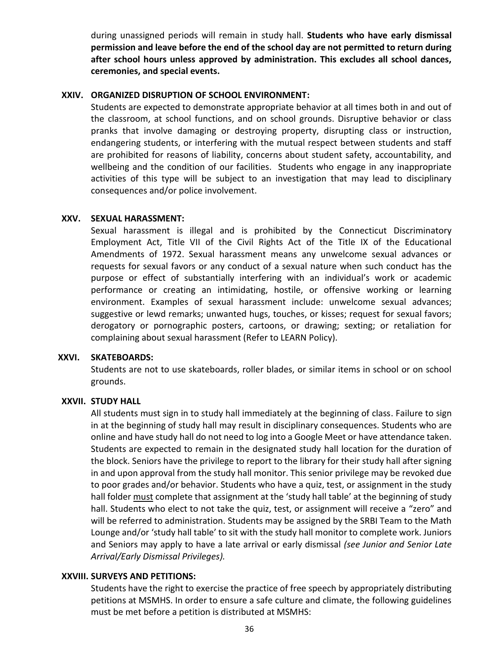during unassigned periods will remain in study hall. **Students who have early dismissal permission and leave before the end of the school day are not permitted to return during after school hours unless approved by administration. This excludes all school dances, ceremonies, and special events.**

#### **XXIV. ORGANIZED DISRUPTION OF SCHOOL ENVIRONMENT:**

Students are expected to demonstrate appropriate behavior at all times both in and out of the classroom, at school functions, and on school grounds. Disruptive behavior or class pranks that involve damaging or destroying property, disrupting class or instruction, endangering students, or interfering with the mutual respect between students and staff are prohibited for reasons of liability, concerns about student safety, accountability, and wellbeing and the condition of our facilities. Students who engage in any inappropriate activities of this type will be subject to an investigation that may lead to disciplinary consequences and/or police involvement.

#### **XXV. SEXUAL HARASSMENT:**

Sexual harassment is illegal and is prohibited by the Connecticut Discriminatory Employment Act, Title VII of the Civil Rights Act of the Title IX of the Educational Amendments of 1972. Sexual harassment means any unwelcome sexual advances or requests for sexual favors or any conduct of a sexual nature when such conduct has the purpose or effect of substantially interfering with an individual's work or academic performance or creating an intimidating, hostile, or offensive working or learning environment. Examples of sexual harassment include: unwelcome sexual advances; suggestive or lewd remarks; unwanted hugs, touches, or kisses; request for sexual favors; derogatory or pornographic posters, cartoons, or drawing; sexting; or retaliation for complaining about sexual harassment (Refer to LEARN Policy).

#### **XXVI. SKATEBOARDS:**

Students are not to use skateboards, roller blades, or similar items in school or on school grounds.

#### **XXVII. STUDY HALL**

All students must sign in to study hall immediately at the beginning of class. Failure to sign in at the beginning of study hall may result in disciplinary consequences. Students who are online and have study hall do not need to log into a Google Meet or have attendance taken. Students are expected to remain in the designated study hall location for the duration of the block. Seniors have the privilege to report to the library for their study hall after signing in and upon approval from the study hall monitor. This senior privilege may be revoked due to poor grades and/or behavior. Students who have a quiz, test, or assignment in the study hall folder must complete that assignment at the 'study hall table' at the beginning of study hall. Students who elect to not take the quiz, test, or assignment will receive a "zero" and will be referred to administration. Students may be assigned by the SRBI Team to the Math Lounge and/or 'study hall table' to sit with the study hall monitor to complete work. Juniors and Seniors may apply to have a late arrival or early dismissal *(see Junior and Senior Late Arrival/Early Dismissal Privileges).*

#### **XXVIII. SURVEYS AND PETITIONS:**

Students have the right to exercise the practice of free speech by appropriately distributing petitions at MSMHS. In order to ensure a safe culture and climate, the following guidelines must be met before a petition is distributed at MSMHS: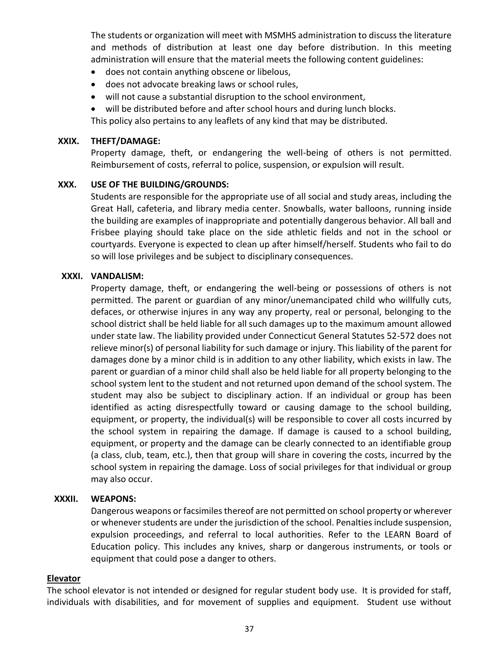The students or organization will meet with MSMHS administration to discuss the literature and methods of distribution at least one day before distribution. In this meeting administration will ensure that the material meets the following content guidelines:

- does not contain anything obscene or libelous,
- does not advocate breaking laws or school rules,
- will not cause a substantial disruption to the school environment,
- will be distributed before and after school hours and during lunch blocks.

This policy also pertains to any leaflets of any kind that may be distributed.

#### **XXIX. THEFT/DAMAGE:**

Property damage, theft, or endangering the well-being of others is not permitted. Reimbursement of costs, referral to police, suspension, or expulsion will result.

#### **XXX. USE OF THE BUILDING/GROUNDS:**

Students are responsible for the appropriate use of all social and study areas, including the Great Hall, cafeteria, and library media center. Snowballs, water balloons, running inside the building are examples of inappropriate and potentially dangerous behavior. All ball and Frisbee playing should take place on the side athletic fields and not in the school or courtyards. Everyone is expected to clean up after himself/herself. Students who fail to do so will lose privileges and be subject to disciplinary consequences.

#### **XXXI. VANDALISM:**

Property damage, theft, or endangering the well-being or possessions of others is not permitted. The parent or guardian of any minor/unemancipated child who willfully cuts, defaces, or otherwise injures in any way any property, real or personal, belonging to the school district shall be held liable for all such damages up to the maximum amount allowed under state law. The liability provided under Connecticut General Statutes 52-572 does not relieve minor(s) of personal liability for such damage or injury. This liability of the parent for damages done by a minor child is in addition to any other liability, which exists in law. The parent or guardian of a minor child shall also be held liable for all property belonging to the school system lent to the student and not returned upon demand of the school system. The student may also be subject to disciplinary action. If an individual or group has been identified as acting disrespectfully toward or causing damage to the school building, equipment, or property, the individual(s) will be responsible to cover all costs incurred by the school system in repairing the damage. If damage is caused to a school building, equipment, or property and the damage can be clearly connected to an identifiable group (a class, club, team, etc.), then that group will share in covering the costs, incurred by the school system in repairing the damage. Loss of social privileges for that individual or group may also occur.

#### **XXXII. WEAPONS:**

Dangerous weapons or facsimiles thereof are not permitted on school property or wherever or whenever students are under the jurisdiction of the school. Penalties include suspension, expulsion proceedings, and referral to local authorities. Refer to the LEARN Board of Education policy. This includes any knives, sharp or dangerous instruments, or tools or equipment that could pose a danger to others.

#### **Elevator**

The school elevator is not intended or designed for regular student body use. It is provided for staff, individuals with disabilities, and for movement of supplies and equipment. Student use without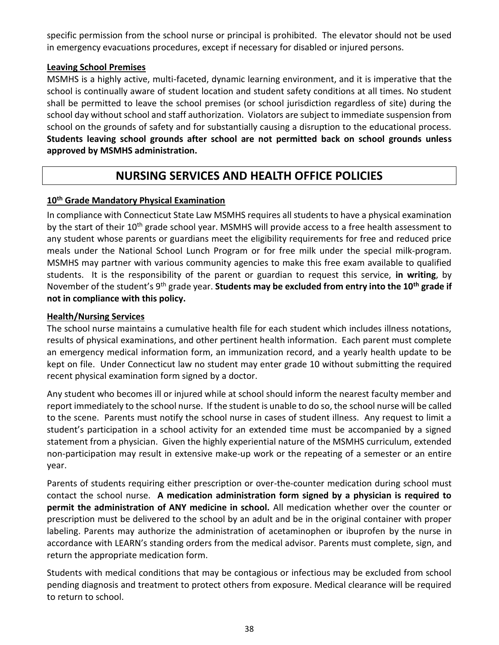specific permission from the school nurse or principal is prohibited. The elevator should not be used in emergency evacuations procedures, except if necessary for disabled or injured persons.

#### **Leaving School Premises**

MSMHS is a highly active, multi-faceted, dynamic learning environment, and it is imperative that the school is continually aware of student location and student safety conditions at all times. No student shall be permitted to leave the school premises (or school jurisdiction regardless of site) during the school day without school and staff authorization. Violators are subject to immediate suspension from school on the grounds of safety and for substantially causing a disruption to the educational process. **Students leaving school grounds after school are not permitted back on school grounds unless approved by MSMHS administration.**

# **NURSING SERVICES AND HEALTH OFFICE POLICIES**

# **10th Grade Mandatory Physical Examination**

In compliance with Connecticut State Law MSMHS requires all students to have a physical examination by the start of their 10<sup>th</sup> grade school year. MSMHS will provide access to a free health assessment to any student whose parents or guardians meet the eligibility requirements for free and reduced price meals under the National School Lunch Program or for free milk under the special milk-program. MSMHS may partner with various community agencies to make this free exam available to qualified students. It is the responsibility of the parent or guardian to request this service, **in writing**, by November of the student's 9th grade year. **Students may be excluded from entry into the 10th grade if not in compliance with this policy.**

#### **Health/Nursing Services**

The school nurse maintains a cumulative health file for each student which includes illness notations, results of physical examinations, and other pertinent health information. Each parent must complete an emergency medical information form, an immunization record, and a yearly health update to be kept on file. Under Connecticut law no student may enter grade 10 without submitting the required recent physical examination form signed by a doctor.

Any student who becomes ill or injured while at school should inform the nearest faculty member and report immediately to the school nurse. If the student is unable to do so, the school nurse will be called to the scene. Parents must notify the school nurse in cases of student illness. Any request to limit a student's participation in a school activity for an extended time must be accompanied by a signed statement from a physician. Given the highly experiential nature of the MSMHS curriculum, extended non-participation may result in extensive make-up work or the repeating of a semester or an entire year.

Parents of students requiring either prescription or over-the-counter medication during school must contact the school nurse. **A medication administration form signed by a physician is required to permit the administration of ANY medicine in school.** All medication whether over the counter or prescription must be delivered to the school by an adult and be in the original container with proper labeling. Parents may authorize the administration of acetaminophen or ibuprofen by the nurse in accordance with LEARN's standing orders from the medical advisor. Parents must complete, sign, and return the appropriate medication form.

Students with medical conditions that may be contagious or infectious may be excluded from school pending diagnosis and treatment to protect others from exposure. Medical clearance will be required to return to school.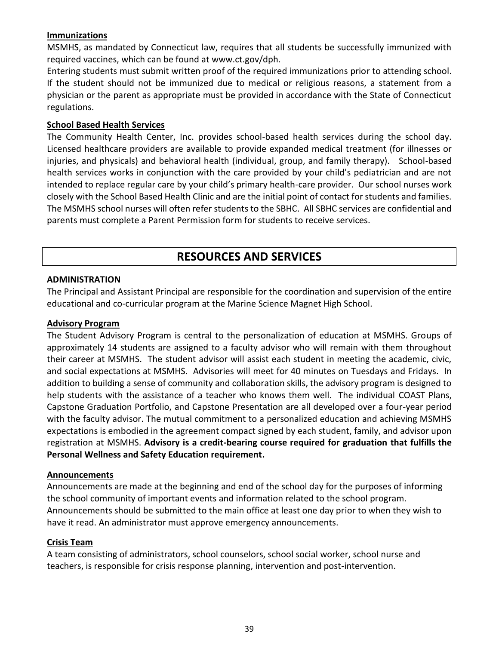#### **Immunizations**

MSMHS, as mandated by Connecticut law, requires that all students be successfully immunized with required vaccines, which can be found at www.ct.gov/dph.

Entering students must submit written proof of the required immunizations prior to attending school. If the student should not be immunized due to medical or religious reasons, a statement from a physician or the parent as appropriate must be provided in accordance with the State of Connecticut regulations.

#### **School Based Health Services**

The Community Health Center, Inc. provides school-based health services during the school day. Licensed healthcare providers are available to provide expanded medical treatment (for illnesses or injuries, and physicals) and behavioral health (individual, group, and family therapy). School-based health services works in conjunction with the care provided by your child's pediatrician and are not intended to replace regular care by your child's primary health-care provider. Our school nurses work closely with the School Based Health Clinic and are the initial point of contact for students and families. The MSMHS school nurses will often refer students to the SBHC. All SBHC services are confidential and parents must complete a Parent Permission form for students to receive services.

# **RESOURCES AND SERVICES**

#### **ADMINISTRATION**

The Principal and Assistant Principal are responsible for the coordination and supervision of the entire educational and co-curricular program at the Marine Science Magnet High School.

#### **Advisory Program**

The Student Advisory Program is central to the personalization of education at MSMHS. Groups of approximately 14 students are assigned to a faculty advisor who will remain with them throughout their career at MSMHS. The student advisor will assist each student in meeting the academic, civic, and social expectations at MSMHS. Advisories will meet for 40 minutes on Tuesdays and Fridays. In addition to building a sense of community and collaboration skills, the advisory program is designed to help students with the assistance of a teacher who knows them well. The individual COAST Plans, Capstone Graduation Portfolio, and Capstone Presentation are all developed over a four-year period with the faculty advisor. The mutual commitment to a personalized education and achieving MSMHS expectations is embodied in the agreement compact signed by each student, family, and advisor upon registration at MSMHS. **Advisory is a credit-bearing course required for graduation that fulfills the Personal Wellness and Safety Education requirement.**

#### **Announcements**

Announcements are made at the beginning and end of the school day for the purposes of informing the school community of important events and information related to the school program. Announcements should be submitted to the main office at least one day prior to when they wish to have it read. An administrator must approve emergency announcements.

#### **Crisis Team**

A team consisting of administrators, school counselors, school social worker, school nurse and teachers, is responsible for crisis response planning, intervention and post-intervention.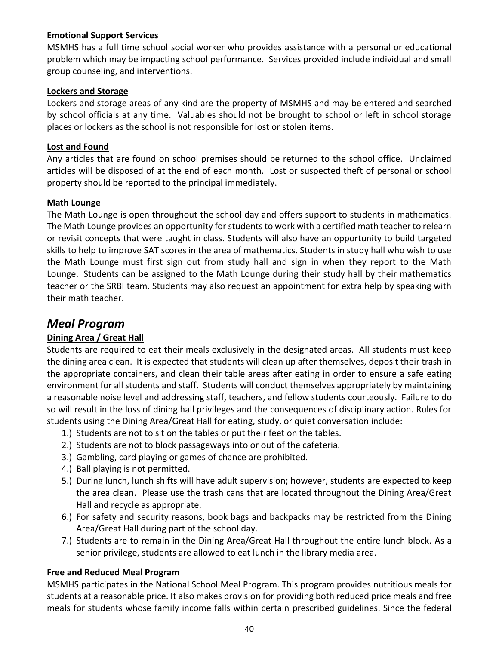#### **Emotional Support Services**

MSMHS has a full time school social worker who provides assistance with a personal or educational problem which may be impacting school performance. Services provided include individual and small group counseling, and interventions.

#### **Lockers and Storage**

Lockers and storage areas of any kind are the property of MSMHS and may be entered and searched by school officials at any time. Valuables should not be brought to school or left in school storage places or lockers as the school is not responsible for lost or stolen items.

#### **Lost and Found**

Any articles that are found on school premises should be returned to the school office. Unclaimed articles will be disposed of at the end of each month. Lost or suspected theft of personal or school property should be reported to the principal immediately.

#### **Math Lounge**

The Math Lounge is open throughout the school day and offers support to students in mathematics. The Math Lounge provides an opportunity for students to work with a certified math teacher to relearn or revisit concepts that were taught in class. Students will also have an opportunity to build targeted skills to help to improve SAT scores in the area of mathematics. Students in study hall who wish to use the Math Lounge must first sign out from study hall and sign in when they report to the Math Lounge. Students can be assigned to the Math Lounge during their study hall by their mathematics teacher or the SRBI team. Students may also request an appointment for extra help by speaking with their math teacher.

# *Meal Program*

#### **Dining Area / Great Hall**

Students are required to eat their meals exclusively in the designated areas. All students must keep the dining area clean. It is expected that students will clean up after themselves, deposit their trash in the appropriate containers, and clean their table areas after eating in order to ensure a safe eating environment for all students and staff. Students will conduct themselves appropriately by maintaining a reasonable noise level and addressing staff, teachers, and fellow students courteously. Failure to do so will result in the loss of dining hall privileges and the consequences of disciplinary action. Rules for students using the Dining Area/Great Hall for eating, study, or quiet conversation include:

- 1.) Students are not to sit on the tables or put their feet on the tables.
- 2.) Students are not to block passageways into or out of the cafeteria.
- 3.) Gambling, card playing or games of chance are prohibited.
- 4.) Ball playing is not permitted.
- 5.) During lunch, lunch shifts will have adult supervision; however, students are expected to keep the area clean. Please use the trash cans that are located throughout the Dining Area/Great Hall and recycle as appropriate.
- 6.) For safety and security reasons, book bags and backpacks may be restricted from the Dining Area/Great Hall during part of the school day.
- 7.) Students are to remain in the Dining Area/Great Hall throughout the entire lunch block. As a senior privilege, students are allowed to eat lunch in the library media area.

#### **Free and Reduced Meal Program**

MSMHS participates in the National School Meal Program. This program provides nutritious meals for students at a reasonable price. It also makes provision for providing both reduced price meals and free meals for students whose family income falls within certain prescribed guidelines. Since the federal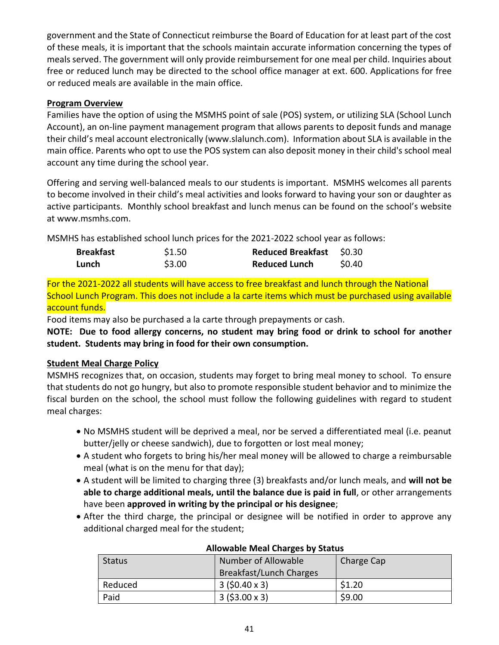government and the State of Connecticut reimburse the Board of Education for at least part of the cost of these meals, it is important that the schools maintain accurate information concerning the types of meals served. The government will only provide reimbursement for one meal per child. Inquiries about free or reduced lunch may be directed to the school office manager at ext. 600. Applications for free or reduced meals are available in the main office.

#### **Program Overview**

Families have the option of using the MSMHS point of sale (POS) system, or utilizing SLA (School Lunch Account), an on-line payment management program that allows parents to deposit funds and manage their child's meal account electronically (www.slalunch.com). Information about SLA is available in the main office. Parents who opt to use the POS system can also deposit money in their child's school meal account any time during the school year.

Offering and serving well-balanced meals to our students is important. MSMHS welcomes all parents to become involved in their child's meal activities and looks forward to having your son or daughter as active participants. Monthly school breakfast and lunch menus can be found on the school's website at www.msmhs.com.

MSMHS has established school lunch prices for the 2021-2022 school year as follows:

| <b>Breakfast</b> | \$1.50 | <b>Reduced Breakfast</b> | S0.30  |
|------------------|--------|--------------------------|--------|
| Lunch            | \$3.00 | <b>Reduced Lunch</b>     | \$0.40 |

For the 2021-2022 all students will have access to free breakfast and lunch through the National School Lunch Program. This does not include a la carte items which must be purchased using available account funds.

Food items may also be purchased a la carte through prepayments or cash.

**NOTE: Due to food allergy concerns, no student may bring food or drink to school for another student. Students may bring in food for their own consumption.**

#### **Student Meal Charge Policy**

MSMHS recognizes that, on occasion, students may forget to bring meal money to school. To ensure that students do not go hungry, but also to promote responsible student behavior and to minimize the fiscal burden on the school, the school must follow the following guidelines with regard to student meal charges:

- No MSMHS student will be deprived a meal, nor be served a differentiated meal (i.e. peanut butter/jelly or cheese sandwich), due to forgotten or lost meal money;
- A student who forgets to bring his/her meal money will be allowed to charge a reimbursable meal (what is on the menu for that day);
- A student will be limited to charging three (3) breakfasts and/or lunch meals, and **will not be able to charge additional meals, until the balance due is paid in full**, or other arrangements have been **approved in writing by the principal or his designee**;
- After the third charge, the principal or designee will be notified in order to approve any additional charged meal for the student;

| <b>Status</b> | Number of Allowable<br>Breakfast/Lunch Charges | Charge Cap |
|---------------|------------------------------------------------|------------|
| Reduced       | $3(50.40 \times 3)$                            | \$1.20     |
| Paid          | $3(53.00 \times 3)$                            | \$9.00     |

#### **Allowable Meal Charges by Status**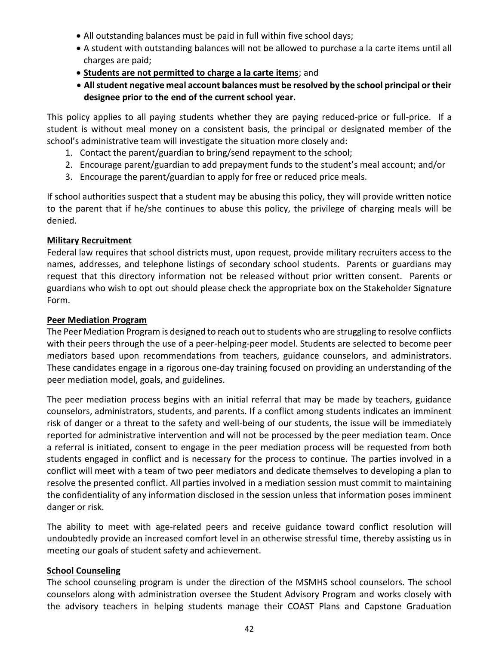- All outstanding balances must be paid in full within five school days;
- A student with outstanding balances will not be allowed to purchase a la carte items until all charges are paid;
- **Students are not permitted to charge a la carte items**; and
- **All student negative meal account balances must be resolved by the school principal or their designee prior to the end of the current school year.**

This policy applies to all paying students whether they are paying reduced-price or full-price. If a student is without meal money on a consistent basis, the principal or designated member of the school's administrative team will investigate the situation more closely and:

- 1. Contact the parent/guardian to bring/send repayment to the school;
- 2. Encourage parent/guardian to add prepayment funds to the student's meal account; and/or
- 3. Encourage the parent/guardian to apply for free or reduced price meals.

If school authorities suspect that a student may be abusing this policy, they will provide written notice to the parent that if he/she continues to abuse this policy, the privilege of charging meals will be denied.

#### **Military Recruitment**

Federal law requires that school districts must, upon request, provide military recruiters access to the names, addresses, and telephone listings of secondary school students. Parents or guardians may request that this directory information not be released without prior written consent. Parents or guardians who wish to opt out should please check the appropriate box on the Stakeholder Signature Form.

#### **Peer Mediation Program**

The Peer Mediation Program is designed to reach out to students who are struggling to resolve conflicts with their peers through the use of a peer-helping-peer model. Students are selected to become peer mediators based upon recommendations from teachers, guidance counselors, and administrators. These candidates engage in a rigorous one-day training focused on providing an understanding of the peer mediation model, goals, and guidelines.

The peer mediation process begins with an initial referral that may be made by teachers, guidance counselors, administrators, students, and parents. If a conflict among students indicates an imminent risk of danger or a threat to the safety and well-being of our students, the issue will be immediately reported for administrative intervention and will not be processed by the peer mediation team. Once a referral is initiated, consent to engage in the peer mediation process will be requested from both students engaged in conflict and is necessary for the process to continue. The parties involved in a conflict will meet with a team of two peer mediators and dedicate themselves to developing a plan to resolve the presented conflict. All parties involved in a mediation session must commit to maintaining the confidentiality of any information disclosed in the session unless that information poses imminent danger or risk.

The ability to meet with age-related peers and receive guidance toward conflict resolution will undoubtedly provide an increased comfort level in an otherwise stressful time, thereby assisting us in meeting our goals of student safety and achievement.

#### **School Counseling**

The school counseling program is under the direction of the MSMHS school counselors. The school counselors along with administration oversee the Student Advisory Program and works closely with the advisory teachers in helping students manage their COAST Plans and Capstone Graduation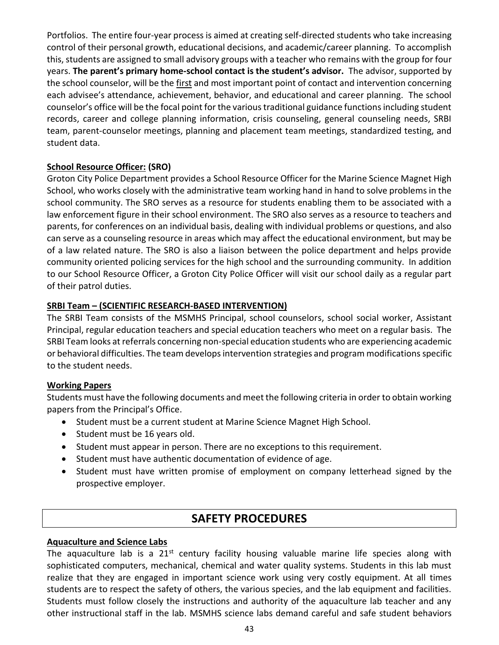Portfolios. The entire four-year process is aimed at creating self-directed students who take increasing control of their personal growth, educational decisions, and academic/career planning. To accomplish this, students are assigned to small advisory groups with a teacher who remains with the group for four years. **The parent's primary home-school contact is the student's advisor.** The advisor, supported by the school counselor, will be the first and most important point of contact and intervention concerning each advisee's attendance, achievement, behavior, and educational and career planning. The school counselor's office will be the focal point for the various traditional guidance functions including student records, career and college planning information, crisis counseling, general counseling needs, SRBI team, parent-counselor meetings, planning and placement team meetings, standardized testing, and student data.

#### **School Resource Officer: (SRO)**

Groton City Police Department provides a School Resource Officer for the Marine Science Magnet High School, who works closely with the administrative team working hand in hand to solve problems in the school community. The SRO serves as a resource for students enabling them to be associated with a law enforcement figure in their school environment. The SRO also serves as a resource to teachers and parents, for conferences on an individual basis, dealing with individual problems or questions, and also can serve as a counseling resource in areas which may affect the educational environment, but may be of a law related nature. The SRO is also a liaison between the police department and helps provide community oriented policing services for the high school and the surrounding community. In addition to our School Resource Officer, a Groton City Police Officer will visit our school daily as a regular part of their patrol duties.

#### **SRBI Team – (SCIENTIFIC RESEARCH-BASED INTERVENTION)**

The SRBI Team consists of the MSMHS Principal, school counselors, school social worker, Assistant Principal, regular education teachers and special education teachers who meet on a regular basis. The SRBI Team looks at referrals concerning non-special education students who are experiencing academic or behavioral difficulties. The team develops intervention strategies and program modifications specific to the student needs.

#### **Working Papers**

Students must have the following documents and meet the following criteria in order to obtain working papers from the Principal's Office.

- Student must be a current student at Marine Science Magnet High School.
- Student must be 16 years old.
- Student must appear in person. There are no exceptions to this requirement.
- Student must have authentic documentation of evidence of age.
- Student must have written promise of employment on company letterhead signed by the prospective employer.

# **SAFETY PROCEDURES**

#### **Aquaculture and Science Labs**

The aquaculture lab is a  $21^{st}$  century facility housing valuable marine life species along with sophisticated computers, mechanical, chemical and water quality systems. Students in this lab must realize that they are engaged in important science work using very costly equipment. At all times students are to respect the safety of others, the various species, and the lab equipment and facilities. Students must follow closely the instructions and authority of the aquaculture lab teacher and any other instructional staff in the lab. MSMHS science labs demand careful and safe student behaviors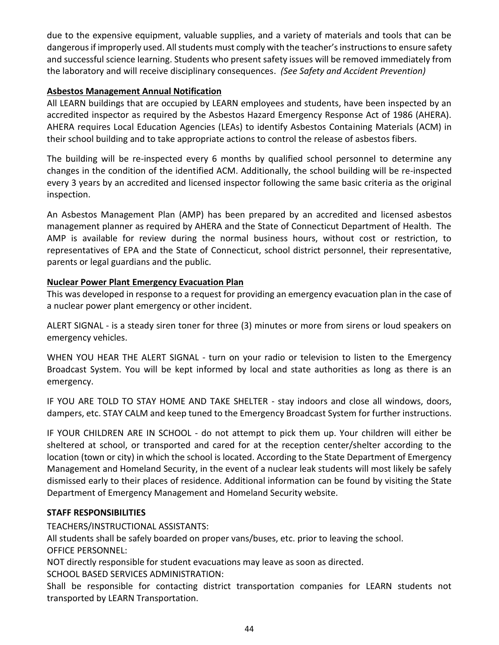due to the expensive equipment, valuable supplies, and a variety of materials and tools that can be dangerous if improperly used. All students must comply with the teacher's instructions to ensure safety and successful science learning. Students who present safety issues will be removed immediately from the laboratory and will receive disciplinary consequences. *(See Safety and Accident Prevention)*

#### **Asbestos Management Annual Notification**

All LEARN buildings that are occupied by LEARN employees and students, have been inspected by an accredited inspector as required by the Asbestos Hazard Emergency Response Act of 1986 (AHERA). AHERA requires Local Education Agencies (LEAs) to identify Asbestos Containing Materials (ACM) in their school building and to take appropriate actions to control the release of asbestos fibers.

The building will be re-inspected every 6 months by qualified school personnel to determine any changes in the condition of the identified ACM. Additionally, the school building will be re-inspected every 3 years by an accredited and licensed inspector following the same basic criteria as the original inspection.

An Asbestos Management Plan (AMP) has been prepared by an accredited and licensed asbestos management planner as required by AHERA and the State of Connecticut Department of Health. The AMP is available for review during the normal business hours, without cost or restriction, to representatives of EPA and the State of Connecticut, school district personnel, their representative, parents or legal guardians and the public.

#### **Nuclear Power Plant Emergency Evacuation Plan**

This was developed in response to a request for providing an emergency evacuation plan in the case of a nuclear power plant emergency or other incident.

ALERT SIGNAL - is a steady siren toner for three (3) minutes or more from sirens or loud speakers on emergency vehicles.

WHEN YOU HEAR THE ALERT SIGNAL - turn on your radio or television to listen to the Emergency Broadcast System. You will be kept informed by local and state authorities as long as there is an emergency.

IF YOU ARE TOLD TO STAY HOME AND TAKE SHELTER - stay indoors and close all windows, doors, dampers, etc. STAY CALM and keep tuned to the Emergency Broadcast System for further instructions.

IF YOUR CHILDREN ARE IN SCHOOL - do not attempt to pick them up. Your children will either be sheltered at school, or transported and cared for at the reception center/shelter according to the location (town or city) in which the school is located. According to the State Department of Emergency Management and Homeland Security, in the event of a nuclear leak students will most likely be safely dismissed early to their places of residence. Additional information can be found by visiting the State Department of Emergency Management and Homeland Security website.

#### **STAFF RESPONSIBILITIES**

TEACHERS/INSTRUCTIONAL ASSISTANTS:

All students shall be safely boarded on proper vans/buses, etc. prior to leaving the school. OFFICE PERSONNEL:

NOT directly responsible for student evacuations may leave as soon as directed. SCHOOL BASED SERVICES ADMINISTRATION:

Shall be responsible for contacting district transportation companies for LEARN students not transported by LEARN Transportation.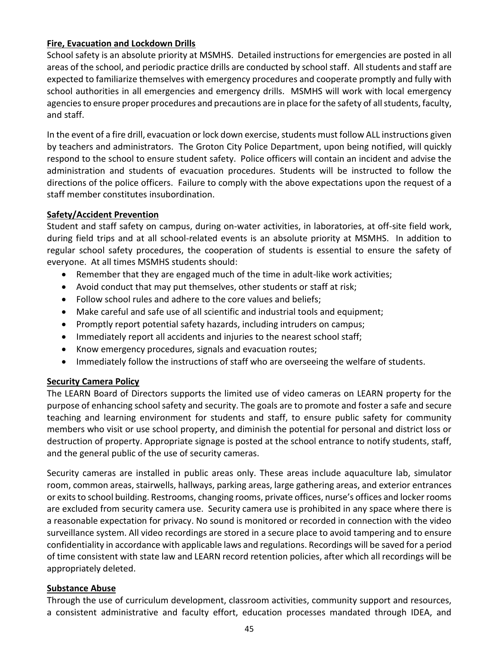#### **Fire, Evacuation and Lockdown Drills**

School safety is an absolute priority at MSMHS. Detailed instructions for emergencies are posted in all areas of the school, and periodic practice drills are conducted by school staff. All students and staff are expected to familiarize themselves with emergency procedures and cooperate promptly and fully with school authorities in all emergencies and emergency drills. MSMHS will work with local emergency agencies to ensure proper procedures and precautions are in place for the safety of all students, faculty, and staff.

In the event of a fire drill, evacuation or lock down exercise, students must follow ALL instructions given by teachers and administrators. The Groton City Police Department, upon being notified, will quickly respond to the school to ensure student safety. Police officers will contain an incident and advise the administration and students of evacuation procedures. Students will be instructed to follow the directions of the police officers. Failure to comply with the above expectations upon the request of a staff member constitutes insubordination.

#### **Safety/Accident Prevention**

Student and staff safety on campus, during on-water activities, in laboratories, at off-site field work, during field trips and at all school-related events is an absolute priority at MSMHS. In addition to regular school safety procedures, the cooperation of students is essential to ensure the safety of everyone. At all times MSMHS students should:

- Remember that they are engaged much of the time in adult-like work activities;
- Avoid conduct that may put themselves, other students or staff at risk;
- Follow school rules and adhere to the core values and beliefs;
- Make careful and safe use of all scientific and industrial tools and equipment;
- Promptly report potential safety hazards, including intruders on campus;
- Immediately report all accidents and injuries to the nearest school staff;
- Know emergency procedures, signals and evacuation routes;
- Immediately follow the instructions of staff who are overseeing the welfare of students.

#### **Security Camera Policy**

The LEARN Board of Directors supports the limited use of video cameras on LEARN property for the purpose of enhancing school safety and security. The goals are to promote and foster a safe and secure teaching and learning environment for students and staff, to ensure public safety for community members who visit or use school property, and diminish the potential for personal and district loss or destruction of property. Appropriate signage is posted at the school entrance to notify students, staff, and the general public of the use of security cameras.

Security cameras are installed in public areas only. These areas include aquaculture lab, simulator room, common areas, stairwells, hallways, parking areas, large gathering areas, and exterior entrances or exits to school building. Restrooms, changing rooms, private offices, nurse's offices and locker rooms are excluded from security camera use. Security camera use is prohibited in any space where there is a reasonable expectation for privacy. No sound is monitored or recorded in connection with the video surveillance system. All video recordings are stored in a secure place to avoid tampering and to ensure confidentiality in accordance with applicable laws and regulations. Recordings will be saved for a period of time consistent with state law and LEARN record retention policies, after which all recordings will be appropriately deleted.

#### **Substance Abuse**

Through the use of curriculum development, classroom activities, community support and resources, a consistent administrative and faculty effort, education processes mandated through IDEA, and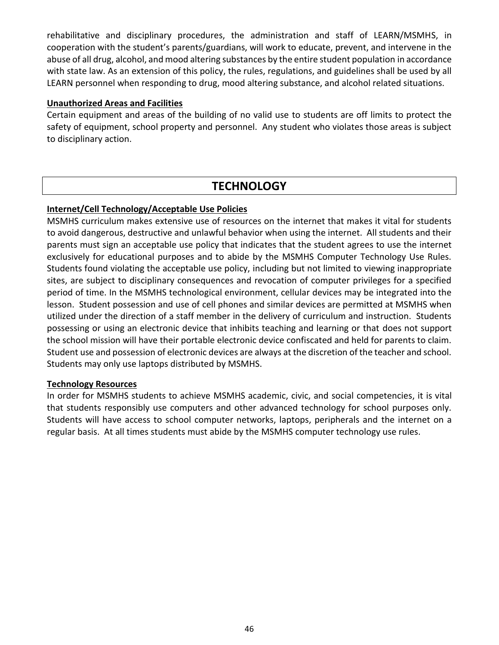rehabilitative and disciplinary procedures, the administration and staff of LEARN/MSMHS, in cooperation with the student's parents/guardians, will work to educate, prevent, and intervene in the abuse of all drug, alcohol, and mood altering substances by the entire student population in accordance with state law. As an extension of this policy, the rules, regulations, and guidelines shall be used by all LEARN personnel when responding to drug, mood altering substance, and alcohol related situations.

#### **Unauthorized Areas and Facilities**

Certain equipment and areas of the building of no valid use to students are off limits to protect the safety of equipment, school property and personnel. Any student who violates those areas is subject to disciplinary action.

# **TECHNOLOGY**

#### **Internet/Cell Technology/Acceptable Use Policies**

MSMHS curriculum makes extensive use of resources on the internet that makes it vital for students to avoid dangerous, destructive and unlawful behavior when using the internet. All students and their parents must sign an acceptable use policy that indicates that the student agrees to use the internet exclusively for educational purposes and to abide by the MSMHS Computer Technology Use Rules. Students found violating the acceptable use policy, including but not limited to viewing inappropriate sites, are subject to disciplinary consequences and revocation of computer privileges for a specified period of time. In the MSMHS technological environment, cellular devices may be integrated into the lesson. Student possession and use of cell phones and similar devices are permitted at MSMHS when utilized under the direction of a staff member in the delivery of curriculum and instruction. Students possessing or using an electronic device that inhibits teaching and learning or that does not support the school mission will have their portable electronic device confiscated and held for parents to claim. Student use and possession of electronic devices are always at the discretion of the teacher and school. Students may only use laptops distributed by MSMHS.

#### **Technology Resources**

In order for MSMHS students to achieve MSMHS academic, civic, and social competencies, it is vital that students responsibly use computers and other advanced technology for school purposes only. Students will have access to school computer networks, laptops, peripherals and the internet on a regular basis. At all times students must abide by the MSMHS computer technology use rules.